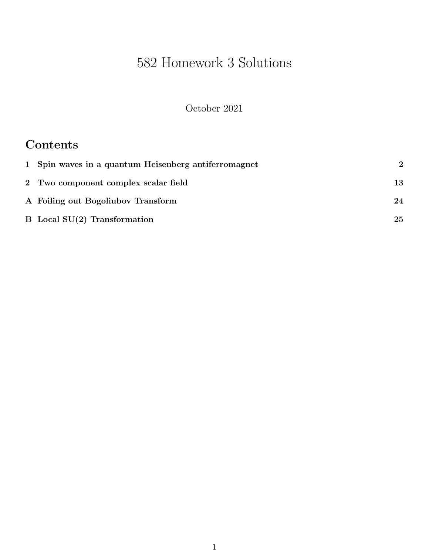# 582 Homework 3 Solutions

October 2021

## Contents

| 1 Spin waves in a quantum Heisenberg antiferromagnet | $\mathbf 2$ |
|------------------------------------------------------|-------------|
| 2 Two component complex scalar field                 | 13          |
| A Foiling out Bogoliubov Transform                   | 24          |
| $B$ Local $SU(2)$ Transformation                     | 25          |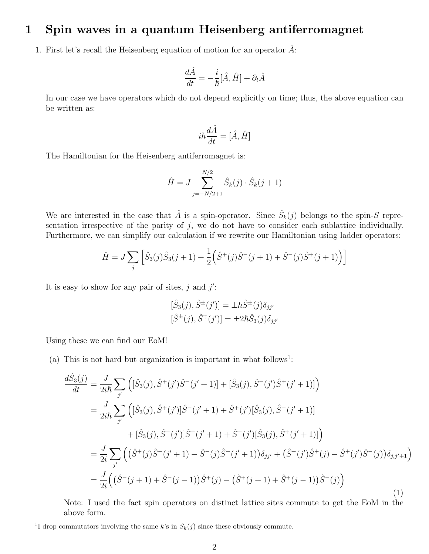#### 1 Spin waves in a quantum Heisenberg antiferromagnet

1. First let's recall the Heisenberg equation of motion for an operator  $A$ :

$$
\frac{d\hat{A}}{dt} = -\frac{i}{\hbar}[\hat{A}, \hat{H}] + \partial_t \hat{A}
$$

In our case we have operators which do not depend explicitly on time; thus, the above equation can be written as:

$$
i\hbar \frac{d\hat{A}}{dt}=[\hat{A},\hat{H}]
$$

The Hamiltonian for the Heisenberg antiferromagnet is:

$$
\hat{H} = J \sum_{j=-N/2+1}^{N/2} \hat{S}_k(j) \cdot \hat{S}_k(j+1)
$$

We are interested in the case that  $\hat{A}$  is a spin-operator. Since  $\hat{S}_k(j)$  belongs to the spin-S representation irrespective of the parity of  $j$ , we do not have to consider each sublattice individually. Furthermore, we can simplify our calculation if we rewrite our Hamiltonian using ladder operators:

$$
\hat{H} = J \sum_{j} \left[ \hat{S}_3(j)\hat{S}_3(j+1) + \frac{1}{2} \left( \hat{S}^+(j)\hat{S}^-(j+1) + \hat{S}^-(j)\hat{S}^+(j+1) \right) \right]
$$

It is easy to show for any pair of sites,  $j$  and  $j'$ :

$$
[\hat{S}_3(j), \hat{S}^{\pm}(j')] = \pm \hbar \hat{S}^{\pm}(j) \delta_{jj'}
$$
  

$$
[\hat{S}^{\pm}(j), \hat{S}^{\mp}(j')] = \pm 2\hbar \hat{S}_3(j) \delta_{jj'}
$$

Using these we can find our EoM!

(a) This is not hard but organization is important in what follows<sup>1</sup>:

$$
\frac{d\hat{S}_{3}(j)}{dt} = \frac{J}{2i\hbar} \sum_{j'} \left( [\hat{S}_{3}(j), \hat{S}^{+}(j')\hat{S}^{-}(j'+1)] + [\hat{S}_{3}(j), \hat{S}^{-}(j')\hat{S}^{+}(j'+1)] \right)
$$
\n
$$
= \frac{J}{2i\hbar} \sum_{j'} \left( [\hat{S}_{3}(j), \hat{S}^{+}(j')] \hat{S}^{-}(j'+1) + \hat{S}^{+}(j') [\hat{S}_{3}(j), \hat{S}^{-}(j'+1)] \right)
$$
\n
$$
+ [\hat{S}_{3}(j), \hat{S}^{-}(j')] \hat{S}^{+}(j'+1) + \hat{S}^{-}(j') [\hat{S}_{3}(j), \hat{S}^{+}(j'+1)] \right)
$$
\n
$$
= \frac{J}{2i} \sum_{j'} \left( (\hat{S}^{+}(j)\hat{S}^{-}(j'+1) - \hat{S}^{-}(j)\hat{S}^{+}(j'+1)) \delta_{jj'} + (\hat{S}^{-}(j')\hat{S}^{+}(j) - \hat{S}^{+}(j')\hat{S}^{-}(j)) \delta_{j,j'+1} \right)
$$
\n
$$
= \frac{J}{2i} \left( (\hat{S}^{-}(j+1) + \hat{S}^{-}(j-1))\hat{S}^{+}(j) - (\hat{S}^{+}(j+1) + \hat{S}^{+}(j-1))\hat{S}^{-}(j) \right)
$$
\n(1)

Note: I used the fact spin operators on distinct lattice sites commute to get the EoM in the above form.

<sup>&</sup>lt;sup>1</sup>I drop commutators involving the same k's in  $S_k(j)$  since these obviously commute.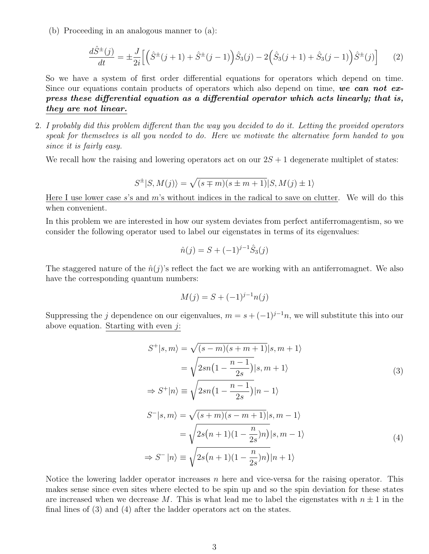(b) Proceeding in an analogous manner to (a):

$$
\frac{d\hat{S}^{\pm}(j)}{dt} = \pm \frac{J}{2i} \left[ \left( \hat{S}^{\pm}(j+1) + \hat{S}^{\pm}(j-1) \right) \hat{S}_3(j) - 2 \left( \hat{S}_3(j+1) + \hat{S}_3(j-1) \right) \hat{S}^{\pm}(j) \right] \tag{2}
$$

So we have a system of first order differential equations for operators which depend on time. Since our equations contain products of operators which also depend on time, we can not express these differential equation as a differential operator which acts linearly; that is, they are not linear.

2. I probably did this problem different than the way you decided to do it. Letting the provided operators speak for themselves is all you needed to do. Here we motivate the alternative form handed to you since it is fairly easy.

We recall how the raising and lowering operators act on our  $2S + 1$  degenerate multiplet of states:

$$
S^{\pm}|S,M(j)\rangle = \sqrt{(s \mp m)(s \pm m + 1)}|S,M(j) \pm 1\rangle
$$

Here I use lower case s's and m's without indices in the radical to save on clutter. We will do this when convenient.

In this problem we are interested in how our system deviates from perfect antiferromagentism, so we consider the following operator used to label our eigenstates in terms of its eigenvalues:

$$
\hat{n}(j) = S + (-1)^{j-1} \hat{S}_3(j)
$$

The staggered nature of the  $\hat{n}(j)$ 's reflect the fact we are working with an antiferromagnet. We also have the corresponding quantum numbers:

$$
M(j) = S + (-1)^{j-1} n(j)
$$

Suppressing the j dependence on our eigenvalues,  $m = s + (-1)^{j-1}n$ , we will substitute this into our above equation. Starting with even  $j$ :

$$
S^{+}|s,m\rangle = \sqrt{(s-m)(s+m+1)}|s,m+1\rangle
$$
  
\n
$$
= \sqrt{2sn(1-\frac{n-1}{2s})}|s,m+1\rangle
$$
  
\n
$$
\Rightarrow S^{+}|n\rangle \equiv \sqrt{2sn(1-\frac{n-1}{2s})}|n-1\rangle
$$
  
\n
$$
S^{-}|s,m\rangle = \sqrt{(s+m)(s-m+1)}|s,m-1\rangle
$$
  
\n
$$
= \sqrt{2s(n+1)(1-\frac{n}{2s})n}|s,m-1\rangle
$$
  
\n
$$
\Rightarrow S^{-}|n\rangle \equiv \sqrt{2s(n+1)(1-\frac{n}{2s})n}|n+1\rangle
$$
\n(4)

Notice the lowering ladder operator increases n here and vice-versa for the raising operator. This makes sense since even sites where elected to be spin up and so the spin deviation for these states are increased when we decrease M. This is what lead me to label the eigenstates with  $n \pm 1$  in the final lines of (3) and (4) after the ladder operators act on the states.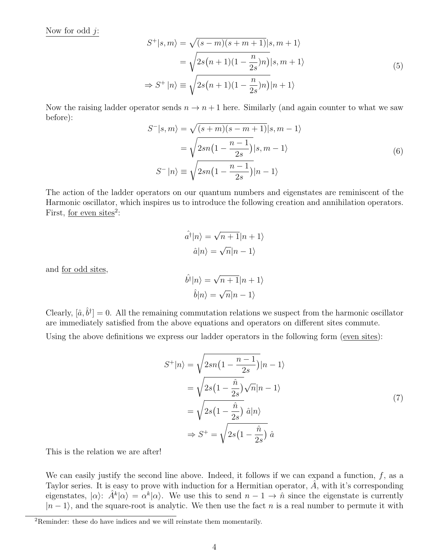Now for odd  $j$ :

$$
S^{+}|s,m\rangle = \sqrt{(s-m)(s+m+1)}|s,m+1\rangle
$$
  
= 
$$
\sqrt{2s(n+1)(1-\frac{n}{2s})n}|s,m+1\rangle
$$
  

$$
\Rightarrow S^{+}|n\rangle \equiv \sqrt{2s(n+1)(1-\frac{n}{2s})n}|n+1\rangle
$$
 (5)

Now the raising ladder operator sends  $n \to n+1$  here. Similarly (and again counter to what we saw before):

$$
S^{-}|s,m\rangle = \sqrt{(s+m)(s-m+1)}|s,m-1\rangle
$$

$$
= \sqrt{2sn(1-\frac{n-1}{2s})}|s,m-1\rangle
$$

$$
S^{-}|n\rangle \equiv \sqrt{2sn(1-\frac{n-1}{2s})}|n-1\rangle
$$
(6)

The action of the ladder operators on our quantum numbers and eigenstates are reminiscent of the Harmonic oscillator, which inspires us to introduce the following creation and annihilation operators. First, <u>for even sites</u><sup>2</sup>:

$$
\hat{a}^{\dagger}|n\rangle = \sqrt{n+1}|n+1\rangle
$$

$$
\hat{a}|n\rangle = \sqrt{n}|n-1\rangle
$$

and for odd sites,

$$
\hat{b}^{\dagger}|n\rangle = \sqrt{n+1}|n+1\rangle
$$

$$
\hat{b}|n\rangle = \sqrt{n}|n-1\rangle
$$

Clearly,  $[\hat{a}, \hat{b}^{\dagger}] = 0$ . All the remaining commutation relations we suspect from the harmonic oscillator are immediately satisfied from the above equations and operators on different sites commute.

Using the above definitions we express our ladder operators in the following form (even sites):

$$
S^{+}|n\rangle = \sqrt{2sn(1 - \frac{n-1}{2s})}|n-1\rangle
$$
  
=  $\sqrt{2s(1 - \frac{\hat{n}}{2s})}\sqrt{n}|n-1\rangle$   
=  $\sqrt{2s(1 - \frac{\hat{n}}{2s})} \hat{a}|n\rangle$   
 $\Rightarrow S^{+} = \sqrt{2s(1 - \frac{\hat{n}}{2s})} \hat{a}$  (7)

This is the relation we are after!

We can easily justify the second line above. Indeed, it follows if we can expand a function,  $f$ , as a Taylor series. It is easy to prove with induction for a Hermitian operator,  $\tilde{A}$ , with it's corresponding eigenstates,  $|\alpha\rangle$ :  $\hat{A}^k|\alpha\rangle = \alpha^k|\alpha\rangle$ . We use this to send  $n-1 \to \hat{n}$  since the eigenstate is currently  $|n-1\rangle$ , and the square-root is analytic. We then use the fact n is a real number to permute it with

<sup>2</sup>Reminder: these do have indices and we will reinstate them momentarily.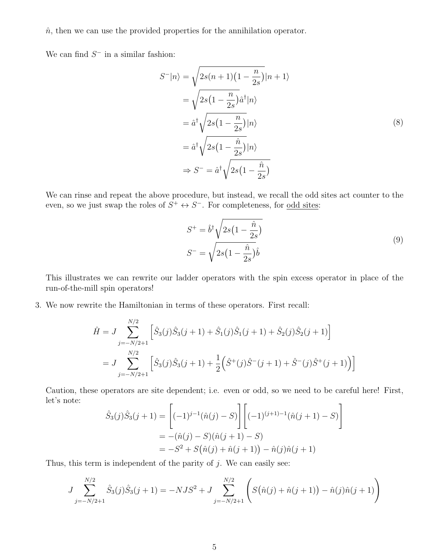$\hat{n}$ , then we can use the provided properties for the annihilation operator.

We can find  $S^-$  in a similar fashion:

$$
S^{-}|n\rangle = \sqrt{2s(n+1)(1-\frac{n}{2s})}|n+1\rangle
$$
  
=  $\sqrt{2s(1-\frac{n}{2s})}\hat{a}^{\dagger}|n\rangle$   
=  $\hat{a}^{\dagger}\sqrt{2s(1-\frac{n}{2s})}|n\rangle$   
=  $\hat{a}^{\dagger}\sqrt{2s(1-\frac{\hat{n}}{2s})}|n\rangle$   
 $\Rightarrow S^{-} = \hat{a}^{\dagger}\sqrt{2s(1-\frac{\hat{n}}{2s})}$  (8)

We can rinse and repeat the above procedure, but instead, we recall the odd sites act counter to the even, so we just swap the roles of  $S^+ \leftrightarrow S^-$ . For completeness, for <u>odd sites</u>:

$$
S^{+} = \hat{b}^{\dagger} \sqrt{2s(1 - \frac{\hat{n}}{2s})}
$$
  

$$
S^{-} = \sqrt{2s(1 - \frac{\hat{n}}{2s})}\hat{b}
$$
 (9)

This illustrates we can rewrite our ladder operators with the spin excess operator in place of the run-of-the-mill spin operators!

3. We now rewrite the Hamiltonian in terms of these operators. First recall:

$$
\hat{H} = J \sum_{j=-N/2+1}^{N/2} \left[ \hat{S}_3(j)\hat{S}_3(j+1) + \hat{S}_1(j)\hat{S}_1(j+1) + \hat{S}_2(j)\hat{S}_2(j+1) \right]
$$
  
= 
$$
J \sum_{j=-N/2+1}^{N/2} \left[ \hat{S}_3(j)\hat{S}_3(j+1) + \frac{1}{2} \left( \hat{S}^+(j)\hat{S}^-(j+1) + \hat{S}^-(j)\hat{S}^+(j+1) \right) \right]
$$

Caution, these operators are site dependent; i.e. even or odd, so we need to be careful here! First, let's note: 1

$$
\hat{S}_3(j)\hat{S}_3(j+1) = \left[(-1)^{j-1}(\hat{n}(j) - S)\right] \left[(-1)^{(j+1)-1}(\hat{n}(j+1) - S)\right]
$$

$$
= -(\hat{n}(j) - S)(\hat{n}(j+1) - S)
$$

$$
= -S^2 + S(\hat{n}(j) + \hat{n}(j+1)) - \hat{n}(j)\hat{n}(j+1)
$$

Thus, this term is independent of the parity of  $j$ . We can easily see:

$$
J\sum_{j=-N/2+1}^{N/2} \hat{S}_3(j)\hat{S}_3(j+1) = -NJS^2 + J\sum_{j=-N/2+1}^{N/2} \left( S(\hat{n}(j) + \hat{n}(j+1)) - \hat{n}(j)\hat{n}(j+1) \right)
$$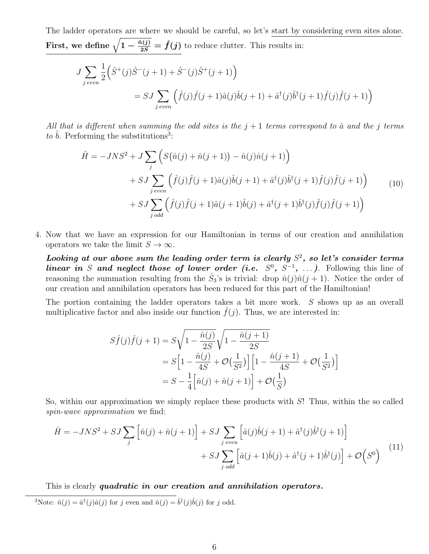The ladder operators are where we should be careful, so let's start by considering even sites alone. First, we define  $\sqrt{1-\frac{\hat{n}(j)}{2S}}=\hat{f}(j)$  to reduce clutter. This results in:

$$
J \sum_{j \text{ even}} \frac{1}{2} \left( \hat{S}^+(j) \hat{S}^-(j+1) + \hat{S}^-(j) \hat{S}^+(j+1) \right)
$$
  
=  $SJ \sum_{j \text{ even}} \left( \hat{f}(j) \hat{f}(j+1) \hat{a}(j) \hat{b}(j+1) + \hat{a}^+(j) \hat{b}^+(j+1) \hat{f}(j) \hat{f}(j+1) \right)$ 

All that is different when summing the odd sites is the  $j+1$  terms correspond to  $\hat{a}$  and the j terms to  $\hat{b}$ . Performing the substitutions<sup>3</sup>:

$$
\hat{H} = -JNS^2 + J \sum_{j} \left( S(\hat{n}(j) + \hat{n}(j+1)) - \hat{n}(j)\hat{n}(j+1) \right) \n+ SJ \sum_{j\ even} \left( \hat{f}(j)\hat{f}(j+1)\hat{a}(j)\hat{b}(j+1) + \hat{a}^{\dagger}(j)\hat{b}^{\dagger}(j+1)\hat{f}(j)\hat{f}(j+1) \right) \n+ SJ \sum_{j\ odd} \left( \hat{f}(j)\hat{f}(j+1)\hat{a}(j+1)\hat{b}(j) + \hat{a}^{\dagger}(j+1)\hat{b}^{\dagger}(j)\hat{f}(j)\hat{f}(j+1) \right)
$$
\n(10)

4. Now that we have an expression for our Hamiltonian in terms of our creation and annihilation operators we take the limit  $S \to \infty$ .

Looking at our above sum the leading order term is clearly  $S^2$ , so let's consider terms linear in S and neglect those of lower order (i.e.  $S^0$ ,  $S^{-1}$ , ...). Following this line of reasoning the summation resulting from the  $\hat{S}_3$ 's is trivial: drop  $\hat{n}(j)\hat{n}(j+1)$ . Notice the order of our creation and annihilation operators has been reduced for this part of the Hamiltonian!

The portion containing the ladder operators takes a bit more work. S shows up as an overall multiplicative factor and also inside our function  $\hat{f}(i)$ . Thus, we are interested in:

$$
S\hat{f}(j)\hat{f}(j+1) = S\sqrt{1 - \frac{\hat{n}(j)}{2S}}\sqrt{1 - \frac{\hat{n}(j+1)}{2S}}
$$
  
=  $S\left[1 - \frac{\hat{n}(j)}{4S} + \mathcal{O}\left(\frac{1}{S^2}\right)\right] \left[1 - \frac{\hat{n}(j+1)}{4S} + \mathcal{O}\left(\frac{1}{S^2}\right)\right]$   
=  $S - \frac{1}{4}\left[\hat{n}(j) + \hat{n}(j+1)\right] + \mathcal{O}\left(\frac{1}{S}\right)$ 

So, within our approximation we simply replace these products with  $S!$  Thus, within the so called spin-wave approximation we find:

$$
\hat{H} = -JNS^2 + SJ \sum_{j} \left[ \hat{n}(j) + \hat{n}(j+1) \right] + SJ \sum_{j \text{ even}} \left[ \hat{a}(j)\hat{b}(j+1) + \hat{a}^\dagger(j)\hat{b}^\dagger(j+1) \right] + SJ \sum_{j \text{ odd}} \left[ \hat{a}(j+1)\hat{b}(j) + \hat{a}^\dagger(j+1)\hat{b}^\dagger(j) \right] + \mathcal{O}\left(S^0\right)
$$
\n(11)

This is clearly quadratic in our creation and annihilation operators.

<sup>3</sup>Note:  $\hat{n}(j) = \hat{a}^{\dagger}(j)\hat{a}(j)$  for j even and  $\hat{n}(j) = \hat{b}^{\dagger}(j)\hat{b}(j)$  for j odd.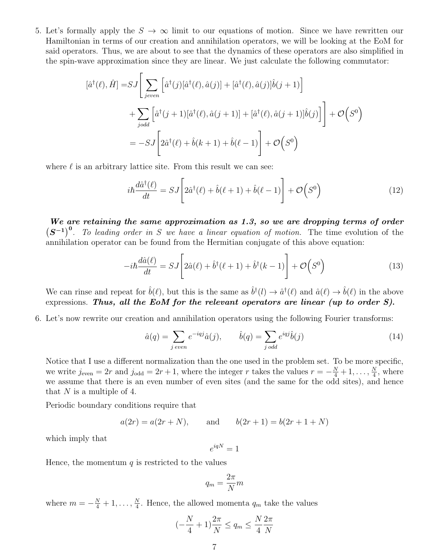5. Let's formally apply the  $S \to \infty$  limit to our equations of motion. Since we have rewritten our Hamiltonian in terms of our creation and annihilation operators, we will be looking at the EoM for said operators. Thus, we are about to see that the dynamics of these operators are also simplified in the spin-wave approximation since they are linear. We just calculate the following commutator:

$$
[\hat{a}^{\dagger}(\ell), \hat{H}] = SJ \left[ \sum_{jeven} \left[ \hat{a}^{\dagger}(j) [\hat{a}^{\dagger}(\ell), \hat{a}(j)] + [\hat{a}^{\dagger}(\ell), \hat{a}(j)] \hat{b}(j+1) \right] \right.+ \sum_{jodd} \left[ \hat{a}^{\dagger}(j+1) [\hat{a}^{\dagger}(\ell), \hat{a}(j+1)] + [\hat{a}^{\dagger}(\ell), \hat{a}(j+1)] \hat{b}(j) \right] \right] + \mathcal{O}\left( S^{0} \right)= - SJ \left[ 2\hat{a}^{\dagger}(\ell) + \hat{b}(k+1) + \hat{b}(\ell-1) \right] + \mathcal{O}\left( S^{0} \right)
$$

where  $\ell$  is an arbitrary lattice site. From this result we can see:

$$
i\hbar \frac{d\hat{a}^{\dagger}(\ell)}{dt} = SJ \left[ 2\hat{a}^{\dagger}(\ell) + \hat{b}(\ell+1) + \hat{b}(\ell-1) \right] + \mathcal{O}\left(S^{0}\right)
$$
\n(12)

We are retaining the same approximation as 1.3, so we are dropping terms of order  $(S^{-1})^0$ . To leading order in S we have a linear equation of motion. The time evolution of the annihilation operator can be found from the Hermitian conjugate of this above equation:

$$
-i\hbar \frac{d\hat{a}(\ell)}{dt} = SJ \left[ 2\hat{a}(\ell) + \hat{b}^\dagger(\ell+1) + \hat{b}^\dagger(k-1) \right] + \mathcal{O}\left(S^0\right) \tag{13}
$$

We can rinse and repeat for  $\hat{b}(\ell)$ , but this is the same as  $\hat{b}^{\dagger}(l) \to \hat{a}^{\dagger}(\ell)$  and  $\hat{a}(\ell) \to \hat{b}(\ell)$  in the above expressions. Thus, all the EoM for the relevant operators are linear (up to order  $S$ ).

6. Let's now rewrite our creation and annihilation operators using the following Fourier transforms:

$$
\hat{a}(q) = \sum_{j \text{ even}} e^{-iqj} \hat{a}(j), \qquad \hat{b}(q) = \sum_{j \text{ odd}} e^{iqj} \hat{b}(j)
$$
\n(14)

Notice that I use a different normalization than the one used in the problem set. To be more specific, we write  $j_{\text{even}} = 2r$  and  $j_{\text{odd}} = 2r + 1$ , where the integer r takes the values  $r = -\frac{N}{4} + 1, \ldots, \frac{N}{4}$  $\frac{N}{4}$ , where we assume that there is an even number of even sites (and the same for the odd sites), and hence that  $N$  is a multiple of 4.

Periodic boundary conditions require that

$$
a(2r) = a(2r + N)
$$
, and  $b(2r + 1) = b(2r + 1 + N)$ 

which imply that

$$
e^{iqN}=1
$$

Hence, the momentum  $q$  is restricted to the values

$$
q_m = \frac{2\pi}{N}m
$$

where  $m = -\frac{N}{4} + 1, \ldots, \frac{N}{4}$  $\frac{N}{4}$ . Hence, the allowed momenta  $q_m$  take the values

$$
\left(-\frac{N}{4} + 1\right)\frac{2\pi}{N} \le q_m \le \frac{N}{4}\frac{2\pi}{N}
$$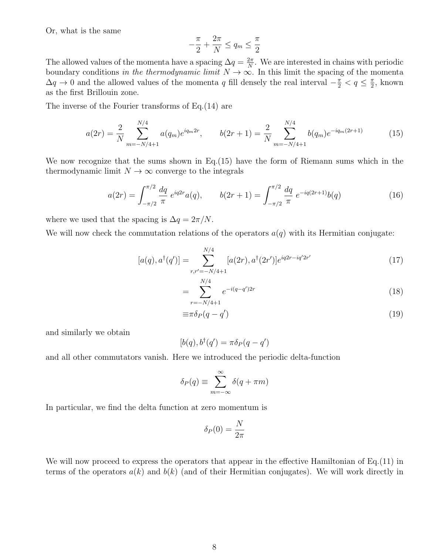Or, what is the same

$$
-\frac{\pi}{2} + \frac{2\pi}{N} \le q_m \le \frac{\pi}{2}
$$

The allowed values of the momenta have a spacing  $\Delta q = \frac{2\pi}{N}$  $\frac{2\pi}{N}$ . We are interested in chains with periodic boundary conditions in the thermodynamic limit  $N \to \infty$ . In this limit the spacing of the momenta  $\Delta q \to 0$  and the allowed values of the momenta q fill densely the real interval  $-\frac{\pi}{2} < q \leq \frac{\pi}{2}$  $\frac{\pi}{2}$ , known as the first Brillouin zone.

The inverse of the Fourier transforms of Eq.(14) are

$$
a(2r) = \frac{2}{N} \sum_{m=-N/4+1}^{N/4} a(q_m) e^{iq_m 2r}, \qquad b(2r+1) = \frac{2}{N} \sum_{m=-N/4+1}^{N/4} b(q_m) e^{-iq_m (2r+1)}
$$
(15)

We now recognize that the sums shown in Eq.(15) have the form of Riemann sums which in the thermodynamic limit  $N \to \infty$  converge to the integrals

$$
a(2r) = \int_{-\pi/2}^{\pi/2} \frac{dq}{\pi} e^{iq2r} a(q), \qquad b(2r+1) = \int_{-\pi/2}^{\pi/2} \frac{dq}{\pi} e^{-iq(2r+1)} b(q) \tag{16}
$$

where we used that the spacing is  $\Delta q = 2\pi/N$ .

We will now check the commutation relations of the operators  $a(q)$  with its Hermitian conjugate:

$$
[a(q), a^{\dagger}(q')] = \sum_{r,r'=-N/4+1}^{N/4} [a(2r), a^{\dagger}(2r')] e^{iq2r - iq'2r'} \tag{17}
$$

$$
=\sum_{r=-N/4+1}^{N/4} e^{-i(q-q')2r} \tag{18}
$$

$$
\equiv \pi \delta_P (q - q') \tag{19}
$$

and similarly we obtain

$$
[b(q), b^\dagger(q') = \pi \delta_P(q - q')
$$

and all other commutators vanish. Here we introduced the periodic delta-function

$$
\delta_P(q) \equiv \sum_{m=-\infty}^{\infty} \delta(q + \pi m)
$$

In particular, we find the delta function at zero momentum is

$$
\delta_P(0) = \frac{N}{2\pi}
$$

We will now proceed to express the operators that appear in the effective Hamiltonian of Eq.(11) in terms of the operators  $a(k)$  and  $b(k)$  (and of their Hermitian conjugates). We will work directly in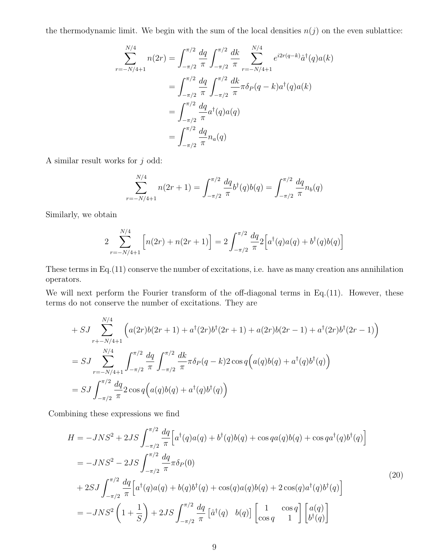the thermodynamic limit. We begin with the sum of the local densities  $n(j)$  on the even sublattice:

$$
\sum_{r=-N/4+1}^{N/4} n(2r) = \int_{-\pi/2}^{\pi/2} \frac{dq}{\pi} \int_{-\pi/2}^{\pi/2} \frac{dk}{\pi} \sum_{r=-N/4+1}^{N/4} e^{i2r(q-k)} \hat{a}^{\dagger}(q) a(k)
$$

$$
= \int_{-\pi/2}^{\pi/2} \frac{dq}{\pi} \int_{-\pi/2}^{\pi/2} \frac{dk}{\pi} \pi \delta_P(q-k) a^{\dagger}(q) a(k)
$$

$$
= \int_{-\pi/2}^{\pi/2} \frac{dq}{\pi} a^{\dagger}(q) a(q)
$$

$$
= \int_{-\pi/2}^{\pi/2} \frac{dq}{\pi} n_a(q)
$$

A similar result works for  $j$  odd:

$$
\sum_{r=-N/4+1}^{N/4} n(2r+1) = \int_{-\pi/2}^{\pi/2} \frac{dq}{\pi} b^{\dagger}(q) b(q) = \int_{-\pi/2}^{\pi/2} \frac{dq}{\pi} n_b(q)
$$

Similarly, we obtain

$$
2\sum_{r=-N/4+1}^{N/4} \left[ n(2r) + n(2r+1) \right] = 2\int_{-\pi/2}^{\pi/2} \frac{dq}{\pi} 2\left[ a^{\dagger}(q) a(q) + b^{\dagger}(q) b(q) \right]
$$

These terms in Eq.(11) conserve the number of excitations, i.e. have as many creation ans annihilation operators.

We will next perform the Fourier transform of the off-diagonal terms in Eq.(11). However, these terms do not conserve the number of excitations. They are

$$
+ SJ \sum_{r+-N/4+1}^{N/4} \left( a(2r)b(2r+1) + a^{\dagger}(2r)b^{\dagger}(2r+1) + a(2r)b(2r-1) + a^{\dagger}(2r)b^{\dagger}(2r-1) \right)
$$
  
= 
$$
SJ \sum_{r=-N/4+1}^{N/4} \int_{-\pi/2}^{\pi/2} \frac{dq}{\pi} \int_{-\pi/2}^{\pi/2} \frac{dk}{\pi} \pi \delta_P(q-k) 2 \cos q \left( a(q)b(q) + a^{\dagger}(q)b^{\dagger}(q) \right)
$$
  
= 
$$
SJ \int_{-\pi/2}^{\pi/2} \frac{dq}{\pi} 2 \cos q \left( a(q)b(q) + a^{\dagger}(q)b^{\dagger}(q) \right)
$$

Combining these expressions we find

$$
H = -JNS^{2} + 2JS \int_{-\pi/2}^{\pi/2} \frac{dq}{\pi} \Big[ a^{\dagger}(q)a(q) + b^{\dagger}(q)b(q) + \cos qa(q)b(q) + \cos qa^{\dagger}(q)b^{\dagger}(q) \Big]
$$
  
=  $-JNS^{2} - 2JS \int_{-\pi/2}^{\pi/2} \frac{dq}{\pi} \pi \delta_{P}(0)$   
+  $2SJ \int_{-\pi/2}^{\pi/2} \frac{dq}{\pi} \Big[ a^{\dagger}(q)a(q) + b(q)b^{\dagger}(q) + \cos(q)a(q)b(q) + 2\cos(q)a^{\dagger}(q)b^{\dagger}(q) \Big]$   
=  $-JNS^{2} \left( 1 + \frac{1}{S} \right) + 2JS \int_{-\pi/2}^{\pi/2} \frac{dq}{\pi} \Big[ \hat{a}^{\dagger}(q) b(q) \Big] \begin{bmatrix} 1 & \cos q \\ \cos q & 1 \end{bmatrix} \begin{bmatrix} a(q) \\ b^{\dagger}(q) \end{bmatrix}$  (20)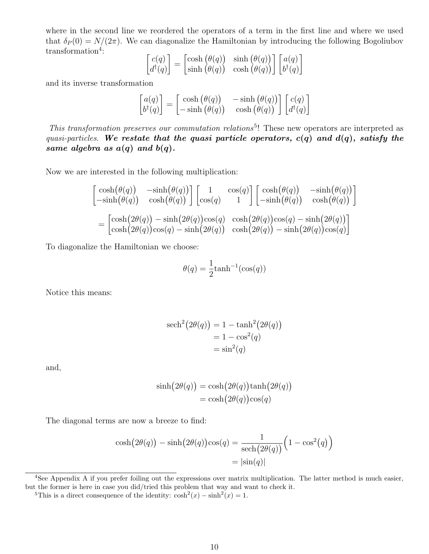where in the second line we reordered the operators of a term in the first line and where we used that  $\delta_P(0) = N/(2\pi)$ . We can diagonalize the Hamiltonian by introducing the following Bogoliubov transformation<sup>4</sup>:

$$
\begin{bmatrix} c(q) \\ d^{\dagger}(q) \end{bmatrix} = \begin{bmatrix} \cosh(\theta(q)) & \sinh(\theta(q)) \\ \sinh(\theta(q)) & \cosh(\theta(q)) \end{bmatrix} \begin{bmatrix} a(q) \\ b^{\dagger}(q) \end{bmatrix}
$$

and its inverse transformation

$$
\begin{bmatrix} a(q) \\ b^\dagger(q) \end{bmatrix} = \begin{bmatrix} \cosh(\theta(q)) & -\sinh(\theta(q)) \\ -\sinh(\theta(q)) & \cosh(\theta(q)) \end{bmatrix} \begin{bmatrix} c(q) \\ d^\dagger(q) \end{bmatrix}
$$

This transformation preserves our commutation relations<sup>5</sup>! These new operators are interpreted as quasi-particles. We restate that the quasi particle operators,  $c(q)$  and  $d(q)$ , satisfy the same algebra as  $a(q)$  and  $b(q)$ .

Now we are interested in the following multiplication:

$$
\begin{bmatrix}\n\cosh(\theta(q)) & -\sinh(\theta(q)) \\
-\sinh(\theta(q)) & \cosh(\theta(q))\n\end{bmatrix}\n\begin{bmatrix}\n1 & \cos(q) \\
\cos(q) & 1\n\end{bmatrix}\n\begin{bmatrix}\n\cosh(\theta(q)) & -\sinh(\theta(q)) \\
-\sinh(\theta(q)) & \cosh(\theta(q))\n\end{bmatrix}
$$
\n
$$
=\begin{bmatrix}\n\cosh(2\theta(q)) - \sinh(2\theta(q))\cos(q) & \cosh(2\theta(q))\cos(q) - \sinh(2\theta(q)) \\
\cosh(2\theta(q))\cos(q) - \sinh(2\theta(q)) & \cosh(2\theta(q)) - \sinh(2\theta(q))\cos(q)\n\end{bmatrix}
$$

To diagonalize the Hamiltonian we choose:

$$
\theta(q) = \frac{1}{2} \tanh^{-1}(\cos(q))
$$

Notice this means:

$$
sech2(2\theta(q)) = 1 - \tanh2(2\theta(q))
$$

$$
= 1 - \cos2(q)
$$

$$
= \sin2(q)
$$

and,

$$
sinh(2\theta(q)) = cosh(2\theta(q))tanh(2\theta(q))
$$
  
= cosh(2\theta(q))cos(q)

The diagonal terms are now a breeze to find:

$$
\cosh(2\theta(q)) - \sinh(2\theta(q))\cos(q) = \frac{1}{\mathrm{sech}(2\theta(q))}\left(1 - \cos^2(q)\right)
$$

$$
= |\sin(q)|
$$

 $^{4}$ See Appendix A if you prefer foiling out the expressions over matrix multiplication. The latter method is much easier, but the former is here in case you did/tried this problem that way and want to check it.

<sup>&</sup>lt;sup>5</sup>This is a direct consequence of the identity:  $\cosh^2(x) - \sinh^2(x) = 1$ .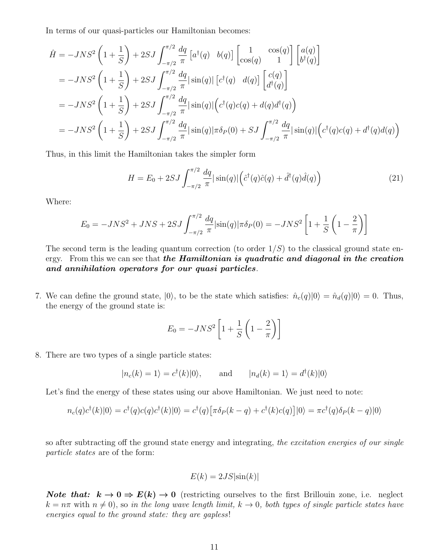In terms of our quasi-particles our Hamiltonian becomes:

$$
\hat{H} = -JNS^{2} \left( 1 + \frac{1}{S} \right) + 2SJ \int_{-\pi/2}^{\pi/2} \frac{dq}{\pi} \left[ a^{\dagger}(q) \quad b(q) \right] \left[ \begin{array}{cc} 1 & \cos(q) \\ \cos(q) & 1 \end{array} \right] \left[ \begin{array}{c} a(q) \\ b^{\dagger}(q) \end{array} \right]
$$
\n
$$
= -JNS^{2} \left( 1 + \frac{1}{S} \right) + 2SJ \int_{-\pi/2}^{\pi/2} \frac{dq}{\pi} |\sin(q)| \left[ c^{\dagger}(q) \quad d(q) \right] \left[ \begin{array}{c} c(q) \\ d^{\dagger}(q) \end{array} \right]
$$
\n
$$
= -JNS^{2} \left( 1 + \frac{1}{S} \right) + 2SJ \int_{-\pi/2}^{\pi/2} \frac{dq}{\pi} |\sin(q)| \left( c^{\dagger}(q)c(q) + d(q)d^{\dagger}(q) \right)
$$
\n
$$
= -JNS^{2} \left( 1 + \frac{1}{S} \right) + 2SJ \int_{-\pi/2}^{\pi/2} \frac{dq}{\pi} |\sin(q)| \pi \delta_{P}(0) + SJ \int_{-\pi/2}^{\pi/2} \frac{dq}{\pi} |\sin(q)| \left( c^{\dagger}(q)c(q) + d^{\dagger}(q)d(q) \right)
$$

Thus, in this limit the Hamiltonian takes the simpler form

$$
H = E_0 + 2SJ \int_{-\pi/2}^{\pi/2} \frac{dq}{\pi} |\sin(q)| \left(\hat{c}^\dagger(q)\hat{c}(q) + \hat{d}^\dagger(q)\hat{d}(q)\right)
$$
(21)

Where:

$$
E_0 = -JNS^2 + JNS + 2SJ \int_{-\pi/2}^{\pi/2} \frac{dq}{\pi} |\sin(q)| \pi \delta_P(0) = -JNS^2 \left[ 1 + \frac{1}{S} \left( 1 - \frac{2}{\pi} \right) \right]
$$

The second term is the leading quantum correction (to order  $1/S$ ) to the classical ground state energy. From this we can see that the Hamiltonian is quadratic and diagonal in the creation and annihilation operators for our quasi particles.

7. We can define the ground state,  $|0\rangle$ , to be the state which satisfies:  $\hat{n}_c(q)|0\rangle = \hat{n}_d(q)|0\rangle = 0$ . Thus, the energy of the ground state is:

$$
E_0 = -JNS^2 \left[ 1 + \frac{1}{S} \left( 1 - \frac{2}{\pi} \right) \right]
$$

8. There are two types of a single particle states:

$$
|n_c(k) = 1\rangle = c^{\dagger}(k)|0\rangle
$$
, and  $|n_d(k) = 1\rangle = d^{\dagger}(k)|0\rangle$ 

Let's find the energy of these states using our above Hamiltonian. We just need to note:

$$
n_c(q)c^{\dagger}(k)|0\rangle = c^{\dagger}(q)c(q)c^{\dagger}(k)|0\rangle = c^{\dagger}(q)\left[\pi\delta_P(k-q) + c^{\dagger}(k)c(q)\right]|0\rangle = \pi c^{\dagger}(q)\delta_P(k-q)|0\rangle
$$

so after subtracting off the ground state energy and integrating, the excitation energies of our single particle states are of the form:

$$
E(k) = 2JS|\sin(k)|
$$

**Note that:**  $k \to 0 \Rightarrow E(k) \to 0$  (restricting ourselves to the first Brillouin zone, i.e. neglect  $k = n\pi$  with  $n \neq 0$ , so in the long wave length limit,  $k \to 0$ , both types of single particle states have energies equal to the ground state: they are gapless!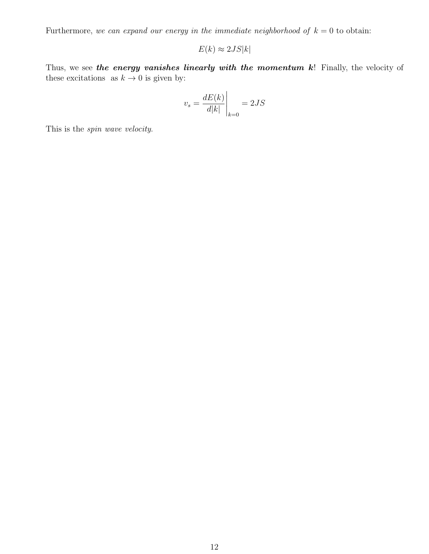Furthermore, we can expand our energy in the immediate neighborhood of  $k = 0$  to obtain:

$$
E(k) \approx 2JS|k|
$$

Thus, we see the energy vanishes linearly with the momentum  $k!$  Finally, the velocity of these excitations as  $k \to 0$  is given by:

$$
v_s = \frac{dE(k)}{d|k|}\Big|_{k=0} = 2JS
$$

This is the spin wave velocity.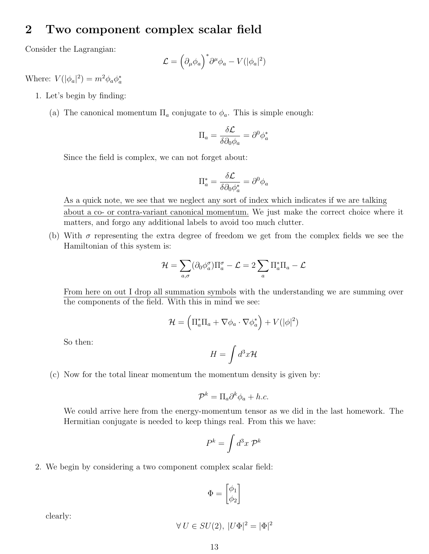#### 2 Two component complex scalar field

Consider the Lagrangian:

$$
\mathcal{L} = \left(\partial_{\mu}\phi_{a}\right)^{*}\partial^{\mu}\phi_{a} - V(|\phi_{a}|^{2})
$$

Where:  $V(|\phi_a|^2) = m^2 \phi_a \phi_a^*$ 

- 1. Let's begin by finding:
	- (a) The canonical momentum  $\Pi_a$  conjugate to  $\phi_a$ . This is simple enough:

$$
\Pi_a = \frac{\delta \mathcal{L}}{\delta \partial_0 \phi_a} = \partial^0 \phi_a^*
$$

Since the field is complex, we can not forget about:

$$
\Pi_a^* = \frac{\delta \mathcal{L}}{\delta \partial_0 \phi_a^*} = \partial^0 \phi_a
$$

As a quick note, we see that we neglect any sort of index which indicates if we are talking about a co- or contra-variant canonical momentum. We just make the correct choice where it matters, and forgo any additional labels to avoid too much clutter.

(b) With  $\sigma$  representing the extra degree of freedom we get from the complex fields we see the Hamiltonian of this system is:

$$
\mathcal{H} = \sum_{a,\sigma} (\partial_0 \phi_a^{\sigma}) \Pi_a^{\sigma} - \mathcal{L} = 2 \sum_a \Pi_a^* \Pi_a - \mathcal{L}
$$

From here on out I drop all summation symbols with the understanding we are summing over the components of the field. With this in mind we see:

$$
\mathcal{H} = \left(\Pi_a^* \Pi_a + \nabla \phi_a \cdot \nabla \phi_a^*\right) + V(|\phi|^2)
$$

So then:

$$
H = \int d^3x \mathcal{H}
$$

(c) Now for the total linear momentum the momentum density is given by:

$$
\mathcal{P}^k = \Pi_a \partial^k \phi_a + h.c.
$$

We could arrive here from the energy-momentum tensor as we did in the last homework. The Hermitian conjugate is needed to keep things real. From this we have:

$$
P^k = \int d^3x \; \mathcal{P}^k
$$

2. We begin by considering a two component complex scalar field:

$$
\Phi = \begin{bmatrix} \phi_1 \\ \phi_2 \end{bmatrix}
$$

clearly:

$$
\forall U \in SU(2), \ |U\Phi|^2 = |\Phi|^2
$$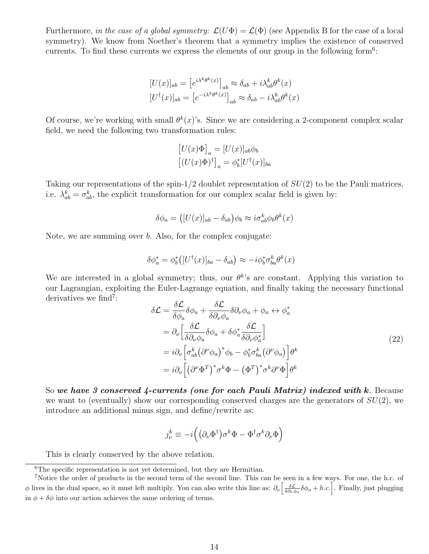Furthermore, in the case of a global symmetry:  $\mathcal{L}(U\Phi) = \mathcal{L}(\Phi)$  (see Appendix B for the case of a local symmetry). We know from Noether's theorem that a symmetry implies the existence of conserved currents. To find these currents we express the elements of our group in the following form<sup>6</sup>:

$$
[U(x)]_{ab} = [e^{i\lambda^k \theta^k(x)}]_{ab} \approx \delta_{ab} + i\lambda_{ab}^k \theta^k(x)
$$

$$
[U^{\dagger}(x)]_{ab} = [e^{-i\lambda^k \theta^k(x)}]_{ab} \approx \delta_{ab} - i\lambda_{ab}^k \theta^k(x)
$$

Of course, we're working with small  $\theta^k(x)$ 's. Since we are considering a 2-component complex scalar field, we need the following two transformation rules:

$$
[U(x)\Phi]_a = [U(x)]_{ab}\phi_b
$$

$$
[(U(x)\Phi)^\dagger]_a = \phi_b^*[U^\dagger(x)]_{ba}
$$

Taking our representations of the spin- $1/2$  doublet representation of  $SU(2)$  to be the Pauli matrices, i.e.  $\lambda_{ab}^k = \sigma_{ab}^k$ , the explicit transformation for our complex scalar field is given by:

$$
\delta\phi_a = ([U(x)]_{ab} - \delta_{ab})\phi_b \approx i\sigma_{ab}^k \phi_b \theta^k(x)
$$

Note, we are summing over b. Also, for the complex conjugate:

$$
\delta \phi_a^* = \phi_b^* ([U^\dagger(x)]_{ba} - \delta_{ab}) \approx -i \phi_b^* \sigma_{ba}^k \theta^k(x)
$$

We are interested in a global symmetry; thus, our  $\theta^k$ 's are constant. Applying this variation to our Lagrangian, exploiting the Euler-Lagrange equation, and finally taking the necessary functional derivatives we find<sup>7</sup>:

$$
\delta \mathcal{L} = \frac{\delta \mathcal{L}}{\delta \phi_a} \delta \phi_a + \frac{\delta \mathcal{L}}{\delta \partial_\nu \phi_a} \delta \partial_\nu \phi_a + \phi_a \leftrightarrow \phi_a^*
$$
  
\n
$$
= \partial_\nu \left[ \frac{\delta \mathcal{L}}{\delta \partial_\nu \phi_a} \delta \phi_a + \delta \phi_a^* \frac{\delta \mathcal{L}}{\delta \partial_\nu \phi_a^*} \right]
$$
  
\n
$$
= i \partial_\nu \left[ \sigma_{ab}^k \left( \partial^\nu \phi_a \right)^* \phi_b - \phi_b^* \sigma_{ba}^k \left( \partial^\nu \phi_a \right) \right] \theta^k
$$
  
\n
$$
= i \partial_\nu \left[ \left( \partial^\nu \Phi^T \right)^* \sigma^k \Phi - \left( \Phi^T \right)^* \sigma^k \partial^\nu \Phi \right] \theta^k
$$
 (22)

So we have 3 conserved 4-currents (one for each Pauli Matrix) indexed with k. Because we want to (eventually) show our corresponding conserved charges are the generators of  $SU(2)$ , we introduce an additional minus sign, and define/rewrite as:

$$
j^k_\nu \equiv -i\Big(\big(\partial_\nu \Phi^\dagger\big) \sigma^k \Phi - \Phi^\dagger \sigma^k \partial_\nu \Phi\Big)
$$

This is clearly conserved by the above relation.

 ${}^{6}$ The specific representation is not yet determined, but they are Hermitian.

<sup>7</sup>Notice the order of products in the second term of the second line. This can be seen in a few ways. For one, the h.c. of φ lives in the dual space, so it must left multiply. You can also write this line as:  $\partial_{\nu} \left[ \frac{\delta \mathcal{L}}{\delta \partial_{\nu} \phi_{a}} \delta \phi_{a} + h.c. \right]$ . Finally, just plugging in  $\phi + \delta \phi$  into our action achieves the same ordering of terms.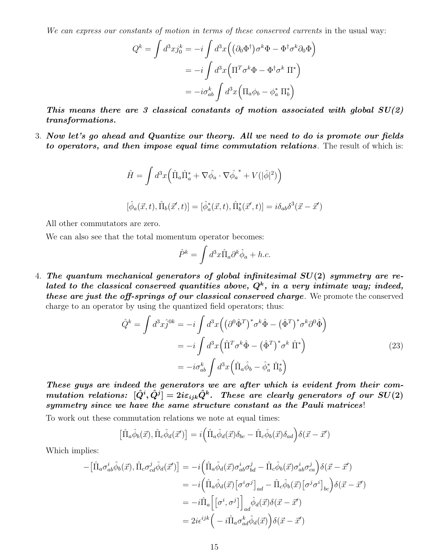We can express our constants of motion in terms of these conserved currents in the usual way:

$$
Q^{k} = \int d^{3}x j_{0}^{k} = -i \int d^{3}x \left( (\partial_{0} \Phi^{\dagger}) \sigma^{k} \Phi - \Phi^{\dagger} \sigma^{k} \partial_{0} \Phi \right)
$$

$$
= -i \int d^{3}x \left( \Pi^{T} \sigma^{k} \Phi - \Phi^{\dagger} \sigma^{k} \Pi^{*} \right)
$$

$$
= -i \sigma_{ab}^{k} \int d^{3}x \left( \Pi_{a} \phi_{b} - \phi_{a}^{*} \Pi_{b}^{*} \right)
$$

This means there are 3 classical constants of motion associated with global  $SU(2)$ transformations.

3. Now let's go ahead and Quantize our theory. All we need to do is promote our fields to operators, and then impose equal time commutation relations. The result of which is:

$$
\hat{H} = \int d^3x \left( \hat{\Pi}_a \hat{\Pi}_a^* + \nabla \hat{\phi}_a \cdot \nabla \hat{\phi_a}^* + V(|\hat{\phi}|^2) \right)
$$
  

$$
[\hat{\phi}_a(\vec{x}, t), \hat{\Pi}_b(\vec{x}', t)] = [\hat{\phi}_a^*(\vec{x}, t), \hat{\Pi}_b^*(\vec{x}', t)] = i\delta_{ab}\delta^3(\vec{x} - \vec{x}')
$$

All other commutators are zero.

We can also see that the total momentum operator becomes:

$$
\hat{P}^k = \int d^3x \hat{\Pi}_a \partial^k \hat{\phi}_a + h.c.
$$

4. The quantum mechanical generators of global infinitesimal  $SU(2)$  symmetry are related to the classical conserved quantities above,  $Q^k$ , in a very intimate way; indeed, these are just the off-springs of our classical conserved charge. We promote the conserved charge to an operator by using the quantized field operators; thus:

$$
\hat{Q}^k = \int d^3x \hat{j}^{0k} = -i \int d^3x \left( \left( \partial^0 \hat{\Phi}^T \right)^* \sigma^k \hat{\Phi} - \left( \hat{\Phi}^T \right)^* \sigma^k \partial^0 \hat{\Phi} \right)
$$

$$
= -i \int d^3x \left( \hat{\Pi}^T \sigma^k \hat{\Phi} - \left( \hat{\Phi}^T \right)^* \sigma^k \hat{\Pi}^* \right)
$$

$$
= -i \sigma_{ab}^k \int d^3x \left( \hat{\Pi}_a \hat{\phi}_b - \hat{\phi}_a^* \hat{\Pi}_b^* \right)
$$
(23)

These guys are indeed the generators we are after which is evident from their commutation relations:  $[\hat{Q}^i,\hat{Q}^j]=2i\varepsilon_{ijk}\hat{Q}^k$ . These are clearly generators of our  $SU(2)$ symmetry since we have the same structure constant as the Pauli matrices!

To work out these commutation relations we note at equal times:

$$
\left[\hat{\Pi}_a\hat{\phi}_b(\vec{x}),\hat{\Pi}_c\hat{\phi}_d(\vec{x}')\right] = i\left(\hat{\Pi}_a\hat{\phi}_d(\vec{x})\delta_{bc} - \hat{\Pi}_c\hat{\phi}_b(\vec{x})\delta_{ad}\right)\delta(\vec{x}-\vec{x}')
$$

Which implies:

$$
-[\hat{\Pi}_{a}\sigma_{ab}^{i}\hat{\phi}_{b}(\vec{x}),\hat{\Pi}_{c}\sigma_{cd}^{j}\hat{\phi}_{d}(\vec{x}')] = -i(\hat{\Pi}_{a}\hat{\phi}_{d}(\vec{x})\sigma_{ab}^{i}\sigma_{bd}^{j} - \hat{\Pi}_{c}\hat{\phi}_{b}(\vec{x})\sigma_{ab}^{i}\sigma_{ca}^{j})\delta(\vec{x}-\vec{x}')
$$
  
\n
$$
= -i(\hat{\Pi}_{a}\hat{\phi}_{d}(\vec{x})\left[\sigma^{i}\sigma^{j}\right]_{ad} - \hat{\Pi}_{c}\hat{\phi}_{b}(\vec{x})\left[\sigma^{j}\sigma^{i}\right]_{bc}\right)\delta(\vec{x}-\vec{x}')
$$
  
\n
$$
= -i\hat{\Pi}_{a}\left[\left[\sigma^{i},\sigma^{j}\right]\right]_{ad}\hat{\phi}_{d}(\vec{x})\delta(\vec{x}-\vec{x}')
$$
  
\n
$$
= 2i\epsilon^{ijk}\left(-i\hat{\Pi}_{a}\sigma_{ad}^{k}\hat{\phi}_{d}(\vec{x})\right)\delta(\vec{x}-\vec{x}')
$$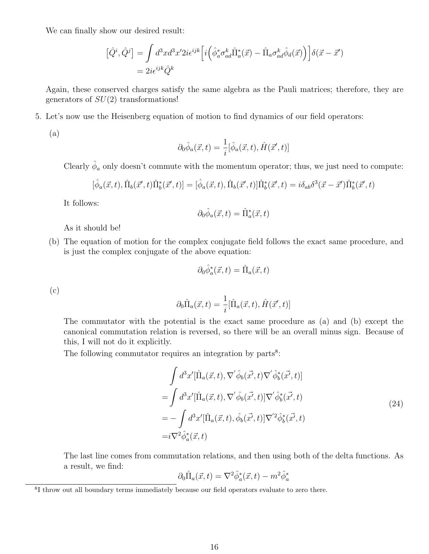We can finally show our desired result:

$$
\begin{aligned} \left[\hat{Q}^i, \hat{Q}^j\right] &= \int d^3x d^3x' 2i \epsilon^{ijk} \Big[ i \Big( \hat{\phi}_a^* \sigma^k_{ad} \hat{\Pi}_a^*(\vec{x}) - \hat{\Pi}_a \sigma^k_{ad} \hat{\phi}_d(\vec{x}) \Big) \Big] \delta(\vec{x} - \vec{x}') \\ &= 2i \epsilon^{ijk} \hat{Q}^k \end{aligned}
$$

Again, these conserved charges satisfy the same algebra as the Pauli matrices; therefore, they are generators of  $SU(2)$  transformations!

5. Let's now use the Heisenberg equation of motion to find dynamics of our field operators:

(a)

$$
\partial_0 \hat{\phi}_a(\vec{x},t) = \frac{1}{i} [\hat{\phi}_a(\vec{x},t), \hat{H}(\vec{x}',t)]
$$

Clearly  $\hat{\phi}_a$  only doesn't commute with the momentum operator; thus, we just need to compute:

$$
[\hat{\phi}_a(\vec{x},t), \hat{\Pi}_b(\vec{x}',t) \hat{\Pi}_b^*(\vec{x}',t)] = [\hat{\phi}_a(\vec{x},t), \hat{\Pi}_b(\vec{x}',t)] \hat{\Pi}_b^*(\vec{x}',t) = i \delta_{ab} \delta^3(\vec{x}-\vec{x}') \hat{\Pi}_b^*(\vec{x}',t)
$$

It follows:

$$
\partial_0 \hat{\phi}_a(\vec{x},t) = \hat{\Pi}_a^*(\vec{x},t)
$$

As it should be!

(b) The equation of motion for the complex conjugate field follows the exact same procedure, and is just the complex conjugate of the above equation:

$$
\partial_0 \hat{\phi}_a^*(\vec{x}, t) = \hat{\Pi}_a(\vec{x}, t)
$$

(c)

$$
\partial_0 \hat{\Pi}_a(\vec{x},t) = \frac{1}{i} [\hat{\Pi}_a(\vec{x},t), \hat{H}(\vec{x}',t)]
$$

The commutator with the potential is the exact same procedure as (a) and (b) except the canonical commutation relation is reversed, so there will be an overall minus sign. Because of this, I will not do it explicitly.

The following commutator requires an integration by parts $8$ :

$$
\int d^3x' [\hat{\Pi}_a(\vec{x},t), \nabla' \hat{\phi}_b(\vec{x'},t) \nabla' \hat{\phi}_b^*(\vec{x'},t)]
$$
\n
$$
= \int d^3x' [\hat{\Pi}_a(\vec{x},t), \nabla' \hat{\phi}_b(\vec{x'},t)] \nabla' \hat{\phi}_b^*(\vec{x'},t)
$$
\n
$$
= -\int d^3x' [\hat{\Pi}_a(\vec{x},t), \hat{\phi}_b(\vec{x'},t)] \nabla'^2 \hat{\phi}_b^*(\vec{x'},t)
$$
\n
$$
= i \nabla^2 \hat{\phi}_a^*(\vec{x},t)
$$
\n(24)

The last line comes from commutation relations, and then using both of the delta functions. As a result, we find:

$$
\partial_0 \hat{\Pi}_a(\vec{x},t) = \nabla^2 \hat{\phi}_a^*(\vec{x},t) - m^2 \hat{\phi}_a^*
$$

<sup>&</sup>lt;sup>8</sup>I throw out all boundary terms immediately because our field operators evaluate to zero there.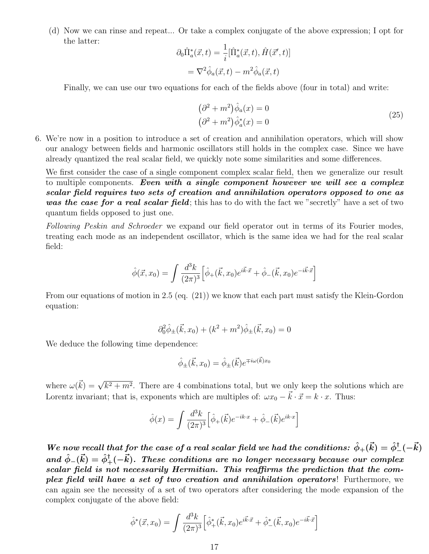(d) Now we can rinse and repeat... Or take a complex conjugate of the above expression; I opt for the latter:

$$
\partial_0 \hat{\Pi}_a^*(\vec{x}, t) = \frac{1}{i} [\hat{\Pi}_a^*(\vec{x}, t), \hat{H}(\vec{x}', t)]
$$

$$
= \nabla^2 \hat{\phi}_a(\vec{x}, t) - m^2 \hat{\phi}_a(\vec{x}, t)
$$

Finally, we can use our two equations for each of the fields above (four in total) and write:

$$
(\partial^2 + m^2)\hat{\phi}_a(x) = 0
$$
  

$$
(\partial^2 + m^2)\hat{\phi}_a^*(x) = 0
$$
 (25)

6. We're now in a position to introduce a set of creation and annihilation operators, which will show our analogy between fields and harmonic oscillators still holds in the complex case. Since we have already quantized the real scalar field, we quickly note some similarities and some differences.

We first consider the case of a single component complex scalar field, then we generalize our result to multiple components. Even with a single component however we will see a complex scalar field requires two sets of creation and annihilation operators opposed to one as was the case for a real scalar field; this has to do with the fact we "secretly" have a set of two quantum fields opposed to just one.

Following Peskin and Schroeder we expand our field operator out in terms of its Fourier modes, treating each mode as an independent oscillator, which is the same idea we had for the real scalar field:

$$
\hat{\phi}(\vec{x}, x_0) = \int \frac{d^3k}{(2\pi)^3} \left[ \hat{\phi}_+(\vec{k}, x_0) e^{i\vec{k}\cdot\vec{x}} + \hat{\phi}_-(\vec{k}, x_0) e^{-i\vec{k}\cdot\vec{x}} \right]
$$

From our equations of motion in 2.5 (eq. (21)) we know that each part must satisfy the Klein-Gordon equation:

$$
\partial_0^2 \hat{\phi}_{\pm}(\vec{k}, x_0) + (k^2 + m^2) \hat{\phi}_{\pm}(\vec{k}, x_0) = 0
$$

We deduce the following time dependence:

$$
\hat{\phi}_{\pm}(\vec{k},x_0) = \hat{\phi}_{\pm}(\vec{k})e^{\mp i\omega(\vec{k})x_0}
$$

where  $\omega(\vec{k}) = \sqrt{k^2 + m^2}$ . There are 4 combinations total, but we only keep the solutions which are Lorentz invariant; that is, exponents which are multiples of:  $\omega x_0 - \vec{k} \cdot \vec{x} = k \cdot x$ . Thus:

$$
\hat{\phi}(x) = \int \frac{d^3k}{(2\pi)^3} \Big[ \hat{\phi}_+(\vec{k}) e^{-ik \cdot x} + \hat{\phi}_-(\vec{k}) e^{ik \cdot x} \Big]
$$

We now recall that for the case of a real scalar field we had the conditions:  $\hat{\phi}_+(\vec{k}) = \hat{\phi}^{\dagger}_-(-\vec{k})$ and  $\hat{\phi}_{-}(\vec{k}) = \hat{\phi}_{+}^{\dagger}(-\vec{k})$ . These conditions are no longer necessary because our complex scalar field is not necessarily Hermitian. This reaffirms the prediction that the complex field will have a set of two creation and annihilation operators! Furthermore, we can again see the necessity of a set of two operators after considering the mode expansion of the complex conjugate of the above field:

$$
\hat{\phi}^*(\vec{x}, x_0) = \int \frac{d^3k}{(2\pi)^3} \left[ \hat{\phi}_+^*(\vec{k}, x_0) e^{i\vec{k}\cdot\vec{x}} + \hat{\phi}_-^*(\vec{k}, x_0) e^{-i\vec{k}\cdot\vec{x}} \right]
$$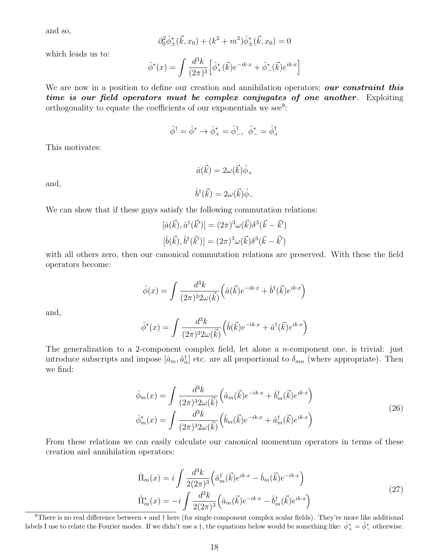and so,

$$
\partial_0^2 \hat{\phi}_{\pm}^*(\vec{k}, x_0) + (k^2 + m^2) \hat{\phi}_{\pm}^*(\vec{k}, x_0) = 0
$$

which leads us to:

$$
\hat{\phi}^*(x) = \int \frac{d^3k}{(2\pi)^3} \left[ \hat{\phi}_+^*(\vec{k}) e^{-ik \cdot x} + \hat{\phi}_-^*(\vec{k}) e^{ik \cdot x} \right]
$$

We are now in a position to define our creation and annihilation operators; our constraint this time is our field operators must be complex conjugates of one another. Exploiting orthogonality to equate the coefficients of our exponentials we see<sup>9</sup>:

$$
\hat{\phi}^{\dagger} = \hat{\phi}^* \rightarrow \hat{\phi}^*_{+} = \hat{\phi}^{\dagger}_{-}, \ \hat{\phi}^*_{-} = \hat{\phi}^{\dagger}_{+}
$$

This motivates:

and,

$$
\hat{a}(\vec{k}) = 2\omega(\vec{k})\hat{\phi}_{+}
$$

$$
\hat{b}^{\dagger}(\vec{k}) = 2\omega(\vec{k})\hat{\phi}_{-}
$$

We can show that if these guys satisfy the following commutation relations:

$$
[\hat{a}(\vec{k}), \hat{a}^{\dagger}(\vec{k}')] = (2\pi)^3 \omega(\vec{k}) \delta^3(\vec{k} - \vec{k}')
$$
  

$$
[\hat{b}(\vec{k}), \hat{b}^{\dagger}(\vec{k}')] = (2\pi)^3 \omega(\vec{k}) \delta^3(\vec{k} - \vec{k}')
$$

with all others zero, then our canonical commutation relations are preserved. With these the field operators become:

$$
\hat{\phi}(x) = \int \frac{d^3k}{(2\pi)^3 2\omega(\vec{k})} \left( \hat{a}(\vec{k}) e^{-ik \cdot x} + \hat{b}^\dagger(\vec{k}) e^{ik \cdot x} \right)
$$

and,

$$
\hat{\phi}^*(x) = \int \frac{d^3k}{(2\pi)^3 2\omega(\vec{k})} \left( \hat{b}(\vec{k}) e^{-ik \cdot x} + \hat{a}^\dagger(\vec{k}) e^{ik \cdot x} \right)
$$

The generalization to a 2-component complex field, let alone a *n*-component one, is trivial: just introduce subscripts and impose  $[\hat{a}_m, \hat{a}_n^{\dagger}]$  etc. are all proportional to  $\delta_{mn}$  (where appropriate). Then we find:

$$
\hat{\phi}_m(x) = \int \frac{d^3k}{(2\pi)^3 2\omega(\vec{k})} \left( \hat{a}_m(\vec{k}) e^{-ik \cdot x} + \hat{b}_m^{\dagger}(\vec{k}) e^{ik \cdot x} \right)
$$
\n
$$
\hat{\phi}_m^*(x) = \int \frac{d^3k}{(2\pi)^3 2\omega(\vec{k})} \left( \hat{b}_m(\vec{k}) e^{-ik \cdot x} + \hat{a}_m^{\dagger}(\vec{k}) e^{ik \cdot x} \right)
$$
\n(26)

From these relations we can easily calculate our canonical momentum operators in terms of these creation and annihilation operators:

$$
\hat{\Pi}_{m}(x) = i \int \frac{d^{3}k}{2(2\pi)^{3}} \left( \hat{a}_{m}^{\dagger}(\vec{k})e^{ik\cdot x} - \hat{b}_{m}(\vec{k})e^{-ik\cdot x} \right)
$$
\n
$$
\hat{\Pi}_{m}^{*}(x) = -i \int \frac{d^{3}k}{2(2\pi)^{3}} \left( \hat{a}_{m}(\vec{k})e^{-ik\cdot x} - \hat{b}_{m}^{\dagger}(\vec{k})e^{ik\cdot x} \right)
$$
\n(27)

<sup>&</sup>lt;sup>9</sup>There is no real difference between  $*$  and  $\dagger$  here (for single component complex scalar fields). They're more like additional labels I use to relate the Fourier modes. If we didn't use a  $\dagger$ , the equations below would be something like:  $\hat{\phi}_+^* = \hat{\phi}_-^*$  otherwise.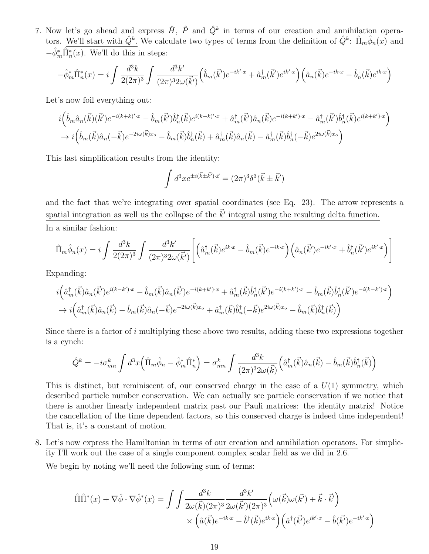7. Now let's go ahead and express  $\hat{H}$ ,  $\hat{P}$  and  $\hat{Q}^k$  in terms of our creation and annihilation operators. We'll start with  $\hat{Q}^k$ . We calculate two types of terms from the definition of  $\hat{Q}^k$ :  $\hat{\Pi}_m \hat{\phi}_n(x)$  and  $-\hat{\phi}_m^*\hat{\Pi}_n^*(x)$ . We'll do this in steps:

$$
-\hat{\phi}_m^*\hat{\Pi}_n^*(x) = i \int \frac{d^3k}{2(2\pi)^3} \int \frac{d^3k'}{(2\pi)^3 2\omega(\vec{k'})} \left(\hat{b}_m(\vec{k'}) e^{-ik' \cdot x} + \hat{a}_m^{\dagger}(\vec{k'}) e^{ik' \cdot x}\right) \left(\hat{a}_n(\vec{k}) e^{-ik \cdot x} - \hat{b}_n^{\dagger}(\vec{k}) e^{ik \cdot x}\right)
$$

Let's now foil everything out:

$$
i\left(\hat{b}_{m}\hat{a}_{n}(\vec{k})(\vec{k}')e^{-i(k+k)'\cdot x} - \hat{b}_{m}(\vec{k}')\hat{b}_{n}^{\dagger}(\vec{k})e^{i(k-k)'\cdot x} + \hat{a}_{m}^{\dagger}(\vec{k}')\hat{a}_{n}(\vec{k})e^{-i(k+k')\cdot x} - \hat{a}_{m}^{\dagger}(\vec{k}')\hat{b}_{n}^{\dagger}(\vec{k})e^{i(k+k')\cdot x}\right) \rightarrow i\left(\hat{b}_{m}(\vec{k})\hat{a}_{n}(-\vec{k})e^{-2i\omega(\vec{k})x_{o}} - \hat{b}_{m}(\vec{k})\hat{b}_{n}^{\dagger}(\vec{k}) + \hat{a}_{m}^{\dagger}(\vec{k})\hat{a}_{n}(\vec{k}) - \hat{a}_{m}^{\dagger}(\vec{k})\hat{b}_{n}^{\dagger}(-\vec{k})e^{2i\omega(\vec{k})x_{o}}\right)
$$

This last simplification results from the identity:

$$
\int d^3x e^{\pm i(\vec{k}\pm\vec{k'})\cdot\vec{x}} = (2\pi)^3 \delta^3(\vec{k}\pm\vec{k'})
$$

and the fact that we're integrating over spatial coordinates (see Eq. 23). The arrow represents a spatial integration as well us the collapse of the  $\vec{k}'$  integral using the resulting delta function. In a similar fashion:

$$
\hat{\Pi}_m \hat{\phi}_n(x) = i \int \frac{d^3k}{2(2\pi)^3} \int \frac{d^3k'}{(2\pi)^3 2\omega(\vec{k}')} \left[ \left( \hat{a}_m^{\dagger}(\vec{k}) e^{ik \cdot x} - \hat{b}_m(\vec{k}) e^{-ik \cdot x} \right) \left( \hat{a}_n(\vec{k}') e^{-ik' \cdot x} + \hat{b}_n^{\dagger}(\vec{k}') e^{ik' \cdot x} \right) \right]
$$

Expanding:

$$
i\Big(\hat{a}_{m}^{\dagger}(\vec{k})\hat{a}_{n}(\vec{k}')e^{i(k-k')\cdot x} - \hat{b}_{m}(\vec{k})\hat{a}_{n}(\vec{k}')e^{-i(k+k')\cdot x} + \hat{a}_{m}^{\dagger}(\vec{k})\hat{b}_{n}^{\dagger}(\vec{k}')e^{-i(k+k')\cdot x} - \hat{b}_{m}(\vec{k})\hat{b}_{n}^{\dagger}(\vec{k}')e^{-i(k-k')\cdot x}\Big) \rightarrow i\Big(\hat{a}_{m}^{\dagger}(\vec{k})\hat{a}_{n}(\vec{k}) - \hat{b}_{m}(\vec{k})\hat{a}_{n}(-\vec{k})e^{-2i\omega(\vec{k})x_{o}} + \hat{a}_{m}^{\dagger}(\vec{k})\hat{b}_{n}^{\dagger}(-\vec{k})e^{2i\omega(\vec{k})x_{o}} - \hat{b}_{m}(\vec{k})\hat{b}_{n}^{\dagger}(\vec{k})\Big)
$$

Since there is a factor of  $i$  multiplying these above two results, adding these two expressions together is a cynch:

$$
\hat{Q}^k = -i\sigma_{mn}^k \int d^3x \left( \hat{\Pi}_m \hat{\phi}_n - \hat{\phi}_m^* \hat{\Pi}_n^* \right) = \sigma_{mn}^k \int \frac{d^3k}{(2\pi)^3 2\omega(\vec{k})} \left( \hat{a}_m^\dagger(\vec{k}) \hat{a}_n(\vec{k}) - \hat{b}_m(\vec{k}) \hat{b}_n^\dagger(\vec{k}) \right)
$$

This is distinct, but reminiscent of, our conserved charge in the case of a  $U(1)$  symmetry, which described particle number conservation. We can actually see particle conservation if we notice that there is another linearly independent matrix past our Pauli matrices: the identity matrix! Notice the cancellation of the time dependent factors, so this conserved charge is indeed time independent! That is, it's a constant of motion.

8. Let's now express the Hamiltonian in terms of our creation and annihilation operators. For simplicity I'll work out the case of a single component complex scalar field as we did in 2.6.

We begin by noting we'll need the following sum of terms:

$$
\hat{\Pi}\hat{\Pi}^*(x) + \nabla\hat{\phi}\cdot\nabla\hat{\phi}^*(x) = \int \int \frac{d^3k}{2\omega(\vec{k})(2\pi)^3} \frac{d^3k'}{2\omega(\vec{k}')(2\pi)^3} \left(\omega(\vec{k})\omega(\vec{k}') + \vec{k}\cdot\vec{k}'\right) \times \left(\hat{a}(\vec{k})e^{-ik\cdot x} - \hat{b}^\dagger(\vec{k})e^{ik\cdot x}\right) \left(\hat{a}^\dagger(\vec{k}')e^{ik'\cdot x} - \hat{b}(\vec{k}')e^{-ik'\cdot x}\right)
$$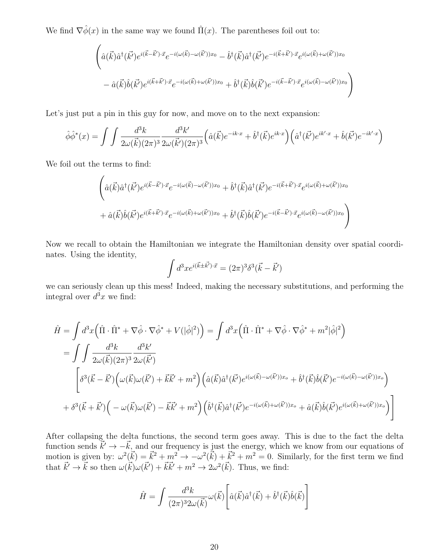We find  $\nabla \hat{\phi}(x)$  in the same way we found  $\hat{\Pi}(x)$ . The parentheses foil out to:

$$
\begin{aligned}\n&\left(\hat{a}(\vec{k})\hat{a}^{\dagger}(\vec{k'})e^{i(\vec{k}-\vec{k'})\cdot\vec{x}}e^{-i(\omega(\vec{k})-\omega(\vec{k}'))x_{0}}-\hat{b}^{\dagger}(\vec{k})\hat{a}^{\dagger}(\vec{k'})e^{-i(\vec{k}+\vec{k'})\cdot\vec{x}}e^{i(\omega(\vec{k})+\omega(\vec{k}'))x_{0}}\right) \\
&-\hat{a}(\vec{k})\hat{b}(\vec{k'})e^{i(\vec{k}+\vec{k'})\cdot\vec{x}}e^{-i(\omega(\vec{k})+\omega(\vec{k}'))x_{0}}+\hat{b}^{\dagger}(\vec{k})\hat{b}(\vec{k'})e^{-i(\vec{k}-\vec{k'})\cdot\vec{x}}e^{i(\omega(\vec{k})-\omega(\vec{k}'))x_{0}}\right)\n\end{aligned}
$$

Let's just put a pin in this guy for now, and move on to the next expansion:

$$
\hat{\phi}\hat{\phi}^*(x) = \int \int \frac{d^3k}{2\omega(\vec{k})(2\pi)^3} \frac{d^3k'}{2\omega(\vec{k}')(2\pi)^3} \left(\hat{a}(\vec{k})e^{-ik\cdot x} + \hat{b}^\dagger(\vec{k})e^{ik\cdot x}\right) \left(\hat{a}^\dagger(\vec{k'})e^{ik'\cdot x} + \hat{b}(\vec{k'})e^{-ik'\cdot x}\right)
$$

We foil out the terms to find:

 $\overline{ }$ 

$$
\begin{split}\n&\left(\hat{a}(\vec{k})\hat{a}^{\dagger}(\vec{k'})e^{i(\vec{k}-\vec{k'})\cdot\vec{x}}e^{-i(\omega(\vec{k})-\omega(\vec{k}'))x_{0}}+\hat{b}^{\dagger}(\vec{k})\hat{a}^{\dagger}(\vec{k'})e^{-i(\vec{k}+\vec{k'})\cdot\vec{x}}e^{i(\omega(\vec{k})+\omega(\vec{k}'))x_{0}}\right.\\
&\left.+\hat{a}(\vec{k})\hat{b}(\vec{k'})e^{i(\vec{k}+\vec{k'})\cdot\vec{x}}e^{-i(\omega(\vec{k})+\omega(\vec{k}'))x_{0}}+\hat{b}^{\dagger}(\vec{k})\hat{b}(\vec{k'})e^{-i(\vec{k}-\vec{k'})\cdot\vec{x}}e^{i(\omega(\vec{k})-\omega(\vec{k}'))x_{0}}\right)\n\end{split}
$$

Now we recall to obtain the Hamiltonian we integrate the Hamiltonian density over spatial coordinates. Using the identity,

$$
\int d^3x e^{i(\vec{k} \pm \vec{k'}) \cdot \vec{x}} = (2\pi)^3 \delta^3(\vec{k} - \vec{k'})
$$

we can seriously clean up this mess! Indeed, making the necessary substitutions, and performing the integral over  $d^3x$  we find:

$$
\hat{H} = \int d^3x \left( \hat{\Pi} \cdot \hat{\Pi}^* + \nabla \hat{\phi} \cdot \nabla \hat{\phi}^* + V(|\hat{\phi}|^2) \right) = \int d^3x \left( \hat{\Pi} \cdot \hat{\Pi}^* + \nabla \hat{\phi} \cdot \nabla \hat{\phi}^* + m^2 |\hat{\phi}|^2 \right)
$$
\n
$$
= \int \int \frac{d^3k}{2\omega(\vec{k})(2\pi)^3} \frac{d^3k'}{2\omega(\vec{k}')} \left[ \delta^3(\vec{k} - \vec{k}') \left( \omega(\vec{k})\omega(\vec{k}') + \vec{k}\vec{k}' + m^2 \right) \left( \hat{a}(\vec{k})\hat{a}^\dagger(\vec{k}')e^{i(\omega(\vec{k}) - \omega(\vec{k}'))x_o} + \hat{b}^\dagger(\vec{k})\hat{b}(\vec{k}')e^{-i(\omega(\vec{k}) - \omega(\vec{k}'))x_o} \right) \right]
$$
\n
$$
+ \delta^3(\vec{k} + \vec{k}') \left( -\omega(\vec{k})\omega(\vec{k}') - \vec{k}\vec{k}' + m^2 \right) \left( \hat{b}^\dagger(\vec{k})\hat{a}^\dagger(\vec{k}')e^{-i(\omega(\vec{k}) + \omega(\vec{k}'))x_o} + \hat{a}(\vec{k})\hat{b}(\vec{k}')e^{i(\omega(\vec{k}) + \omega(\vec{k}'))x_o} \right)
$$

After collapsing the delta functions, the second term goes away. This is due to the fact the delta function sends  $\vec{k}' \rightarrow -\vec{k}$ , and our frequency is just the energy, which we know from our equations of motion is given by:  $\omega^2(\vec{k}) = \vec{k}^2 + m^2 \rightarrow -\omega^2(\vec{k}) + \vec{k}^2 + m^2 = 0$ . Similarly, for the first term we find that  $\vec{k}' \to \vec{k}$  so then  $\omega(\vec{k})\omega(\vec{k}') + \vec{k}\vec{k}' + m^2 \to 2\omega^2(\vec{k})$ . Thus, we find:

$$
\hat{H} = \int \frac{d^3k}{(2\pi)^3 2\omega(\vec{k})} \omega(\vec{k}) \left[ \hat{a}(\vec{k}) \hat{a}^\dagger(\vec{k}) + \hat{b}^\dagger(\vec{k}) \hat{b}(\vec{k}) \right]
$$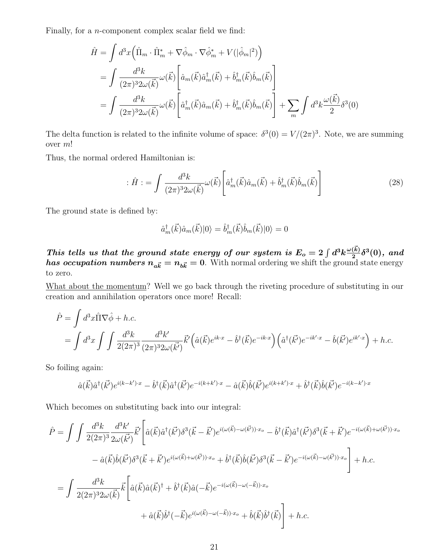Finally, for a n-component complex scalar field we find:

$$
\hat{H} = \int d^3x \left( \hat{\Pi}_m \cdot \hat{\Pi}_m^* + \nabla \hat{\phi}_m \cdot \nabla \hat{\phi}_m^* + V(|\hat{\phi}_m|^2) \right)
$$
\n
$$
= \int \frac{d^3k}{(2\pi)^3 2\omega(\vec{k})} \omega(\vec{k}) \left[ \hat{a}_m(\vec{k}) \hat{a}_m^{\dagger}(\vec{k}) + \hat{b}_m^{\dagger}(\vec{k}) \hat{b}_m(\vec{k}) \right]
$$
\n
$$
= \int \frac{d^3k}{(2\pi)^3 2\omega(\vec{k})} \omega(\vec{k}) \left[ \hat{a}_m^{\dagger}(\vec{k}) \hat{a}_m(\vec{k}) + \hat{b}_m^{\dagger}(\vec{k}) \hat{b}_m(\vec{k}) \right] + \sum_m \int d^3k \frac{\omega(\vec{k})}{2} \delta^3(0)
$$

The delta function is related to the infinite volume of space:  $\delta^3(0) = V/(2\pi)^3$ . Note, we are summing over m!

Thus, the normal ordered Hamiltonian is:

$$
\hat{H} := \int \frac{d^3k}{(2\pi)^3 2\omega(\vec{k})} \omega(\vec{k}) \left[ \hat{a}_m^\dagger(\vec{k}) \hat{a}_m(\vec{k}) + \hat{b}_m^\dagger(\vec{k}) \hat{b}_m(\vec{k}) \right]
$$
(28)

The ground state is defined by:

$$
\hat{a}_{m}^{\dagger}(\vec{k})\hat{a}_{m}(\vec{k})|0\rangle = \hat{b}_{m}^{\dagger}(\vec{k})\hat{b}_{m}(\vec{k})|0\rangle = 0
$$

This tells us that the ground state energy of our system is  $E_o = 2 \int d^3k \frac{\omega(\vec{k})}{2}$  $\frac{d^{(k)}}{2}\delta^3(0),~and~$ has occupation numbers  $n_{a\vec{k}} = n_{b\vec{k}} = 0$ . With normal ordering we shift the ground state energy to zero.

What about the momentum? Well we go back through the riveting procedure of substituting in our creation and annihilation operators once more! Recall:

$$
\hat{P} = \int d^3x \hat{\Pi} \nabla \hat{\phi} + h.c.
$$
  
= 
$$
\int d^3x \int \int \frac{d^3k}{2(2\pi)^3} \frac{d^3k'}{(2\pi)^3 2\omega(\vec{k'})} \vec{k'} \left( \hat{a}(\vec{k})e^{ik \cdot x} - \hat{b}^\dagger(\vec{k})e^{-ik \cdot x} \right) \left( \hat{a}^\dagger(\vec{k'})e^{-ik' \cdot x} - \hat{b}(\vec{k'})e^{ik' \cdot x} \right) + h.c.
$$

So foiling again:

$$
\hat{a}(\vec{k})\hat{a}^\dagger(\vec{k'})e^{i(k-k')\cdot x}-\hat{b}^\dagger(\vec{k})\hat{a}^\dagger(\vec{k'})e^{-i(k+k')\cdot x}-\hat{a}(\vec{k})\hat{b}(\vec{k'})e^{i(k+k')\cdot x}+\hat{b}^\dagger(\vec{k})\hat{b}(\vec{k'})e^{-i(k-k')\cdot x}
$$

Which becomes on substituting back into our integral:

$$
\hat{P} = \int \int \frac{d^3k}{2(2\pi)^3} \frac{d^3k'}{2\omega(\vec{k'})} \vec{k'} \left[ \hat{a}(\vec{k}) \hat{a}^\dagger(\vec{k'}) \delta^3(\vec{k} - \vec{k'}) e^{i(\omega(\vec{k}) - \omega(\vec{k'})) \cdot x_o} - \hat{b}^\dagger(\vec{k}) \hat{a}^\dagger(\vec{k'}) \delta^3(\vec{k} + \vec{k'}) e^{-i(\omega(\vec{k}) + \omega(\vec{k'})) \cdot x_o} - \hat{a}(\vec{k}) \hat{b}(\vec{k'}) \delta^3(\vec{k} + \vec{k'}) e^{i(\omega(\vec{k}) + \omega(\vec{k'})) \cdot x_o} + \hat{b}^\dagger(\vec{k}) \hat{b}(\vec{k'}) \delta^3(\vec{k} - \vec{k'}) e^{-i(\omega(\vec{k}) - \omega(\vec{k'})) \cdot x_o} \right] + h.c.
$$
\n
$$
= \int \frac{d^3k}{2(2\pi)^3 2\omega(\vec{k})} \vec{k} \left[ \hat{a}(\vec{k}) \hat{a}(\vec{k})^\dagger + \hat{b}^\dagger(\vec{k}) \hat{a}(-\vec{k}) e^{-i(\omega(\vec{k}) - \omega(-\vec{k})) \cdot x_o} + \hat{a}(\vec{k}) \hat{b}^\dagger(-\vec{k}) e^{i(\omega(\vec{k}) - \omega(-\vec{k})) \cdot x_o} + \hat{b}(\vec{k}) \hat{b}^\dagger(\vec{k}) \right] + h.c.
$$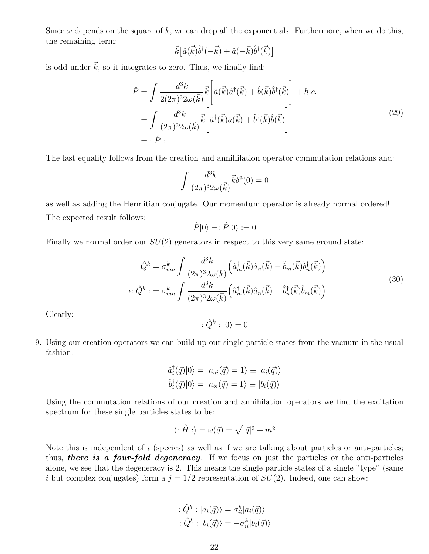Since  $\omega$  depends on the square of k, we can drop all the exponentials. Furthermore, when we do this, the remaining term:

$$
\vec{k}\big[\hat{a}(\vec{k})\hat{b}^\dagger(-\vec{k})+\hat{a}(-\vec{k})\hat{b}^\dagger(\vec{k})\big]
$$

is odd under  $\vec{k}$ , so it integrates to zero. Thus, we finally find:

$$
\hat{P} = \int \frac{d^3k}{2(2\pi)^3 2\omega(\vec{k})} \vec{k} \left[ \hat{a}(\vec{k}) \hat{a}^\dagger(\vec{k}) + \hat{b}(\vec{k}) \hat{b}^\dagger(\vec{k}) \right] + h.c.
$$
\n
$$
= \int \frac{d^3k}{(2\pi)^3 2\omega(\vec{k})} \vec{k} \left[ \hat{a}^\dagger(\vec{k}) \hat{a}(\vec{k}) + \hat{b}^\dagger(\vec{k}) \hat{b}(\vec{k}) \right]
$$
\n
$$
= : \hat{P} :
$$
\n(29)

The last equality follows from the creation and annihilation operator commutation relations and:

$$
\int \frac{d^3k}{(2\pi)^3 2\omega(\vec{k})} \vec{k} \delta^3(0) = 0
$$

as well as adding the Hermitian conjugate. Our momentum operator is already normal ordered! The expected result follows:

$$
\hat{P}|0\rangle =: \hat{P}|0\rangle := 0
$$

Finally we normal order our  $SU(2)$  generators in respect to this very same ground state:

$$
\hat{Q}^k = \sigma_{mn}^k \int \frac{d^3k}{(2\pi)^3 2\omega(\vec{k})} \left( \hat{a}_m^\dagger(\vec{k}) \hat{a}_n(\vec{k}) - \hat{b}_m(\vec{k}) \hat{b}_n^\dagger(\vec{k}) \right)
$$

$$
\rightarrow : \hat{Q}^k : = \sigma_{mn}^k \int \frac{d^3k}{(2\pi)^3 2\omega(\vec{k})} \left( \hat{a}_m^\dagger(\vec{k}) \hat{a}_n(\vec{k}) - \hat{b}_n^\dagger(\vec{k}) \hat{b}_m(\vec{k}) \right)
$$
(30)

Clearly:

$$
:\hat{Q}^k:|0\rangle=0
$$

9. Using our creation operators we can build up our single particle states from the vacuum in the usual fashion:

$$
\hat{a}_i^{\dagger}(\vec{q})|0\rangle = |n_{ai}(\vec{q}) = 1\rangle \equiv |a_i(\vec{q})\rangle
$$
  

$$
\hat{b}_i^{\dagger}(\vec{q})|0\rangle = |n_{bi}(\vec{q}) = 1\rangle \equiv |b_i(\vec{q})\rangle
$$

Using the commutation relations of our creation and annihilation operators we find the excitation spectrum for these single particles states to be:

$$
\langle:\hat{H}:\rangle=\omega(\vec{q})=\sqrt{|\vec{q}|^2+m^2}
$$

Note this is independent of  $i$  (species) as well as if we are talking about particles or anti-particles; thus, there is a four-fold degeneracy. If we focus on just the particles or the anti-particles alone, we see that the degeneracy is 2. This means the single particle states of a single "type" (same i but complex conjugates) form a  $j = 1/2$  representation of  $SU(2)$ . Indeed, one can show:

$$
\begin{aligned} : \hat{Q}^k : |a_i(\vec{q})\rangle &= \sigma_{ii}^k |a_i(\vec{q})\rangle \\ : \hat{Q}^k : |b_i(\vec{q})\rangle &= -\sigma_{ii}^k |b_i(\vec{q})\rangle \end{aligned}
$$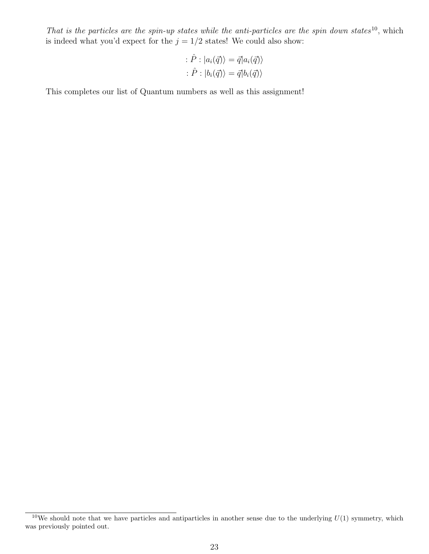That is the particles are the spin-up states while the anti-particles are the spin down states<sup>10</sup>, which is indeed what you'd expect for the  $j = 1/2$  states! We could also show:

$$
\begin{aligned} : \hat{P} : |a_i(\vec{q})\rangle &= \vec{q} |a_i(\vec{q})\rangle \\ : \hat{P} : |b_i(\vec{q})\rangle &= \vec{q} |b_i(\vec{q})\rangle \end{aligned}
$$

This completes our list of Quantum numbers as well as this assignment!

 $10$ We should note that we have particles and antiparticles in another sense due to the underlying  $U(1)$  symmetry, which was previously pointed out.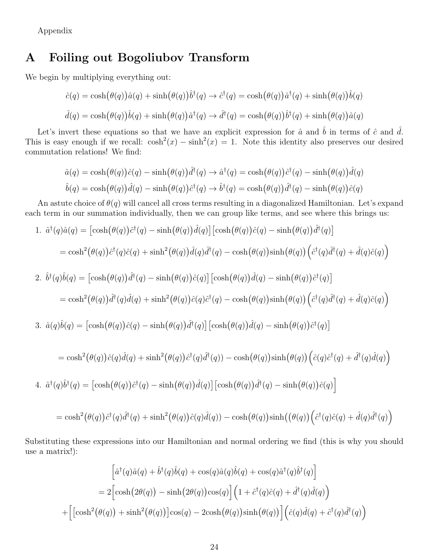Appendix

#### A Foiling out Bogoliubov Transform

We begin by multiplying everything out:

$$
\hat{c}(q) = \cosh(\theta(q))\hat{a}(q) + \sinh(\theta(q))\hat{b}^{\dagger}(q) \rightarrow \hat{c}^{\dagger}(q) = \cosh(\theta(q))\hat{a}^{\dagger}(q) + \sinh(\theta(q))\hat{b}(q)
$$

$$
\hat{d}(q) = \cosh(\theta(q))\hat{b}(q) + \sinh(\theta(q))\hat{a}^{\dagger}(q) \rightarrow \hat{d}^{\dagger}(q) = \cosh(\theta(q))\hat{b}^{\dagger}(q) + \sinh(\theta(q))\hat{a}(q)
$$

Let's invert these equations so that we have an explicit expression for  $\hat{a}$  and  $\hat{b}$  in terms of  $\hat{c}$  and  $\hat{d}$ . This is easy enough if we recall:  $\cosh^2(x) - \sinh^2(x) = 1$ . Note this identity also preserves our desired commutation relations! We find:

$$
\hat{a}(q) = \cosh(\theta(q))\hat{c}(q) - \sinh(\theta(q))\hat{d}^{\dagger}(q) \rightarrow \hat{a}^{\dagger}(q) = \cosh(\theta(q))\hat{c}^{\dagger}(q) - \sinh(\theta(q))\hat{d}(q)
$$

$$
\hat{b}(q) = \cosh(\theta(q))\hat{d}(q) - \sinh(\theta(q))\hat{c}^{\dagger}(q) \rightarrow \hat{b}^{\dagger}(q) = \cosh(\theta(q))\hat{d}^{\dagger}(q) - \sinh(\theta(q))\hat{c}(q)
$$

An astute choice of  $\theta(q)$  will cancel all cross terms resulting in a diagonalized Hamiltonian. Let's expand each term in our summation individually, then we can group like terms, and see where this brings us:

1. 
$$
\hat{a}^{\dagger}(q)\hat{a}(q) = [\cosh(\theta(q))\hat{c}^{\dagger}(q) - \sinh(\theta(q))\hat{d}(q)] [\cosh(\theta(q))\hat{c}(q) - \sinh(\theta(q))\hat{d}^{\dagger}(q)]
$$
  
\n
$$
= \cosh^{2}(\theta(q))\hat{c}^{\dagger}(q)\hat{c}(q) + \sinh^{2}(\theta(q))\hat{d}(q)\hat{d}^{\dagger}(q) - \cosh(\theta(q))\sinh(\theta(q))(\hat{c}^{\dagger}(q)\hat{d}^{\dagger}(q) + \hat{d}(q)\hat{c}(q))
$$
  
\n2. 
$$
\hat{b}^{\dagger}(q)\hat{b}(q) = [\cosh(\theta(q))\hat{d}^{\dagger}(q) - \sinh(\theta(q))\hat{c}(q)] [\cosh(\theta(q))\hat{d}(q) - \sinh(\theta(q))\hat{c}^{\dagger}(q)]
$$
  
\n
$$
= \cosh^{2}(\theta(q))\hat{d}^{\dagger}(q)\hat{d}(q) + \sinh^{2}(\theta(q))\hat{c}(q)\hat{c}^{\dagger}(q) - \cosh(\theta(q))\sinh(\theta(q))(\hat{c}^{\dagger}(q)\hat{d}^{\dagger}(q) + \hat{d}(q)\hat{c}(q))
$$
  
\n3. 
$$
\hat{a}(q)\hat{b}(q) = [\cosh(\theta(q))\hat{c}(q) - \sinh(\theta(q))\hat{d}^{\dagger}(q)] [\cosh(\theta(q))\hat{d}(q) - \sinh(\theta(q))\hat{c}^{\dagger}(q)]
$$
  
\n
$$
= \cosh^{2}(\theta(q))\hat{c}(q)\hat{d}(q) + \sinh^{2}(\theta(q))\hat{c}^{\dagger}(q)\hat{d}^{\dagger}(q)) - \cosh(\theta(q))\sinh(\theta(q))(\hat{c}(q)\hat{c}^{\dagger}(q) + \hat{d}^{\dagger}(q)\hat{d}(q))
$$

4. 
$$
\hat{a}^{\dagger}(q)\hat{b}^{\dagger}(q) = [\cosh(\theta(q))\hat{c}^{\dagger}(q) - \sinh(\theta(q))\hat{d}(q)] [\cosh(\theta(q))\hat{d}^{\dagger}(q) - \sinh(\theta(q))\hat{c}(q)]
$$

$$
= \cosh^2(\theta(q))\hat{c}^\dagger(q)\hat{d}^\dagger(q) + \sinh^2(\theta(q))\hat{c}(q)\hat{d}(q)) - \cosh(\theta(q))\sinh((\theta(q))(\hat{c}^\dagger(q)\hat{c}(q) + \hat{d}(q)\hat{d}^\dagger(q))
$$

Substituting these expressions into our Hamiltonian and normal ordering we find (this is why you should use a matrix!):

$$
\left[\hat{a}^\dagger(q)\hat{a}(q) + \hat{b}^\dagger(q)\hat{b}(q) + \cos(q)\hat{a}(q)\hat{b}(q) + \cos(q)\hat{a}^\dagger(q)\hat{b}^\dagger(q)\right]
$$
  
\n
$$
= 2\left[\cosh(2\theta(q)) - \sinh(2\theta(q))\cos(q)\right] \left(1 + \hat{c}^\dagger(q)\hat{c}(q) + \hat{d}^\dagger(q)\hat{d}(q)\right)
$$
  
\n
$$
+ \left[\left[\cosh^2(\theta(q)) + \sinh^2(\theta(q))\right]\cos(q) - 2\cosh(\theta(q))\sinh(\theta(q))\right] \left(\hat{c}(q)\hat{d}(q) + \hat{c}^\dagger(q)\hat{d}^\dagger(q)\right)
$$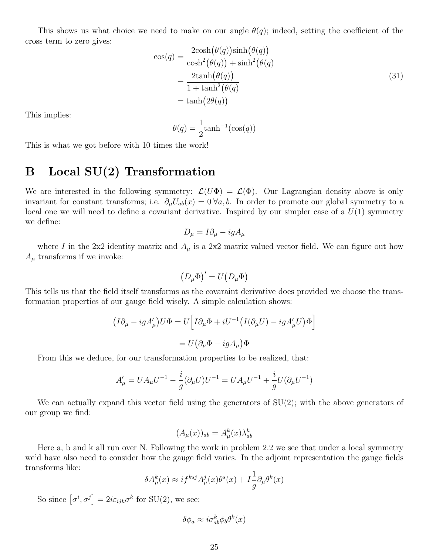This shows us what choice we need to make on our angle  $\theta(q)$ ; indeed, setting the coefficient of the cross term to zero gives:

$$
\cos(q) = \frac{2\cosh(\theta(q))\sinh(\theta(q))}{\cosh^2(\theta(q)) + \sinh^2(\theta(q))}
$$
  
= 
$$
\frac{2\tanh(\theta(q))}{1 + \tanh^2(\theta(q))}
$$
  
= 
$$
\tanh(2\theta(q))
$$
 (31)

This implies:

$$
\theta(q) = \frac{1}{2} \tanh^{-1}(\cos(q))
$$

This is what we got before with 10 times the work!

### B Local SU(2) Transformation

We are interested in the following symmetry:  $\mathcal{L}(U\Phi) = \mathcal{L}(\Phi)$ . Our Lagrangian density above is only invariant for constant transforms; i.e.  $\partial_{\mu}U_{ab}(x) = 0 \ \forall a,b$ . In order to promote our global symmetry to a local one we will need to define a covariant derivative. Inspired by our simpler case of a  $U(1)$  symmetry we define:

$$
D_{\mu} = I \partial_{\mu} - ig A_{\mu}
$$

where I in the 2x2 identity matrix and  $A_\mu$  is a 2x2 matrix valued vector field. We can figure out how  $A_{\mu}$  transforms if we invoke:

$$
(D_{\mu}\Phi)' = U(D_{\mu}\Phi)
$$

This tells us that the field itself transforms as the covaraint derivative does provided we choose the transformation properties of our gauge field wisely. A simple calculation shows:

$$
(I\partial_{\mu} - igA'_{\mu})U\Phi = U \Big[ I\partial_{\mu}\Phi + iU^{-1} \big(I(\partial_{\mu}U) - igA'_{\mu}U\big)\Phi \Big]
$$
  
=  $U\big(\partial_{\mu}\Phi - igA_{\mu}\big)\Phi$ 

From this we deduce, for our transformation properties to be realized, that:

$$
A_{\mu}'=UA_{\mu}U^{-1}-\frac{i}{g}(\partial_{\mu}U)U^{-1}=UA_{\mu}U^{-1}+\frac{i}{g}U(\partial_{\mu}U^{-1})
$$

We can actually expand this vector field using the generators of SU(2); with the above generators of our group we find:

$$
(A_{\mu}(x))_{ab} = A_{\mu}^{k}(x)\lambda_{ab}^{k}
$$

Here a, b and k all run over N. Following the work in problem 2.2 we see that under a local symmetry we'd have also need to consider how the gauge field varies. In the adjoint representation the gauge fields transforms like:

$$
\delta A^k_\mu(x) \approx i f^{ksj} A^j_\mu(x) \theta^s(x) + I \frac{1}{g} \partial_\mu \theta^k(x)
$$

So since  $\left[\sigma^i, \sigma^j\right] = 2i\varepsilon_{ijk}\sigma^k$  for SU(2), we see:

$$
\delta\phi_a \approx i\sigma_{ab}^k \phi_b \theta^k(x)
$$